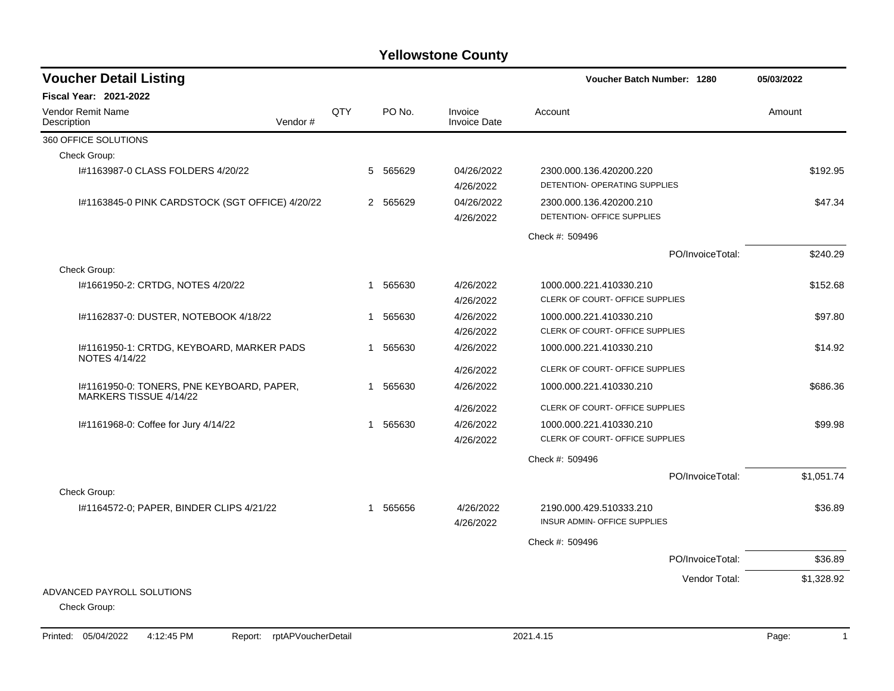| <b>Voucher Detail Listing</b>                                       |         |     |                       |                                | Voucher Batch Number: 1280                                 |                  | 05/03/2022 |
|---------------------------------------------------------------------|---------|-----|-----------------------|--------------------------------|------------------------------------------------------------|------------------|------------|
| <b>Fiscal Year: 2021-2022</b>                                       |         |     |                       |                                |                                                            |                  |            |
| Vendor Remit Name<br>Description                                    | Vendor# | QTY | PO No.                | Invoice<br><b>Invoice Date</b> | Account                                                    |                  | Amount     |
| 360 OFFICE SOLUTIONS                                                |         |     |                       |                                |                                                            |                  |            |
| Check Group:                                                        |         |     |                       |                                |                                                            |                  |            |
| #1163987-0 CLASS FOLDERS 4/20/22                                    |         |     | 565629<br>5           | 04/26/2022<br>4/26/2022        | 2300.000.136.420200.220<br>DETENTION- OPERATING SUPPLIES   |                  | \$192.95   |
| I#1163845-0 PINK CARDSTOCK (SGT OFFICE) 4/20/22                     |         |     | 2 565629              | 04/26/2022<br>4/26/2022        | 2300.000.136.420200.210<br>DETENTION- OFFICE SUPPLIES      |                  | \$47.34    |
|                                                                     |         |     |                       |                                | Check #: 509496                                            |                  |            |
|                                                                     |         |     |                       |                                |                                                            | PO/InvoiceTotal: | \$240.29   |
| Check Group:                                                        |         |     |                       |                                |                                                            |                  |            |
| I#1661950-2: CRTDG, NOTES 4/20/22                                   |         |     | 1 565630              | 4/26/2022<br>4/26/2022         | 1000.000.221.410330.210<br>CLERK OF COURT- OFFICE SUPPLIES |                  | \$152.68   |
| I#1162837-0: DUSTER, NOTEBOOK 4/18/22                               |         |     | 565630<br>1           | 4/26/2022<br>4/26/2022         | 1000.000.221.410330.210<br>CLERK OF COURT- OFFICE SUPPLIES |                  | \$97.80    |
| I#1161950-1: CRTDG, KEYBOARD, MARKER PADS<br>NOTES 4/14/22          |         |     | 565630<br>-1          | 4/26/2022                      | 1000.000.221.410330.210                                    |                  | \$14.92    |
|                                                                     |         |     |                       | 4/26/2022                      | CLERK OF COURT- OFFICE SUPPLIES                            |                  |            |
| I#1161950-0: TONERS, PNE KEYBOARD, PAPER,<br>MARKERS TISSUE 4/14/22 |         |     | 565630<br>1           | 4/26/2022                      | 1000.000.221.410330.210                                    |                  | \$686.36   |
|                                                                     |         |     |                       | 4/26/2022                      | CLERK OF COURT- OFFICE SUPPLIES                            |                  |            |
| I#1161968-0: Coffee for Jury 4/14/22                                |         |     | 1 565630              | 4/26/2022<br>4/26/2022         | 1000.000.221.410330.210<br>CLERK OF COURT- OFFICE SUPPLIES |                  | \$99.98    |
|                                                                     |         |     |                       |                                | Check #: 509496                                            |                  |            |
|                                                                     |         |     |                       |                                |                                                            | PO/InvoiceTotal: | \$1,051.74 |
| Check Group:                                                        |         |     |                       |                                |                                                            |                  |            |
| #1164572-0; PAPER, BINDER CLIPS 4/21/22                             |         |     | 565656<br>$\mathbf 1$ | 4/26/2022<br>4/26/2022         | 2190.000.429.510333.210<br>INSUR ADMIN- OFFICE SUPPLIES    |                  | \$36.89    |
|                                                                     |         |     |                       |                                | Check #: 509496                                            |                  |            |
|                                                                     |         |     |                       |                                |                                                            | PO/InvoiceTotal: | \$36.89    |
|                                                                     |         |     |                       |                                |                                                            | Vendor Total:    | \$1,328.92 |
| ADVANCED PAYROLL SOLUTIONS                                          |         |     |                       |                                |                                                            |                  |            |
| Check Group:                                                        |         |     |                       |                                |                                                            |                  |            |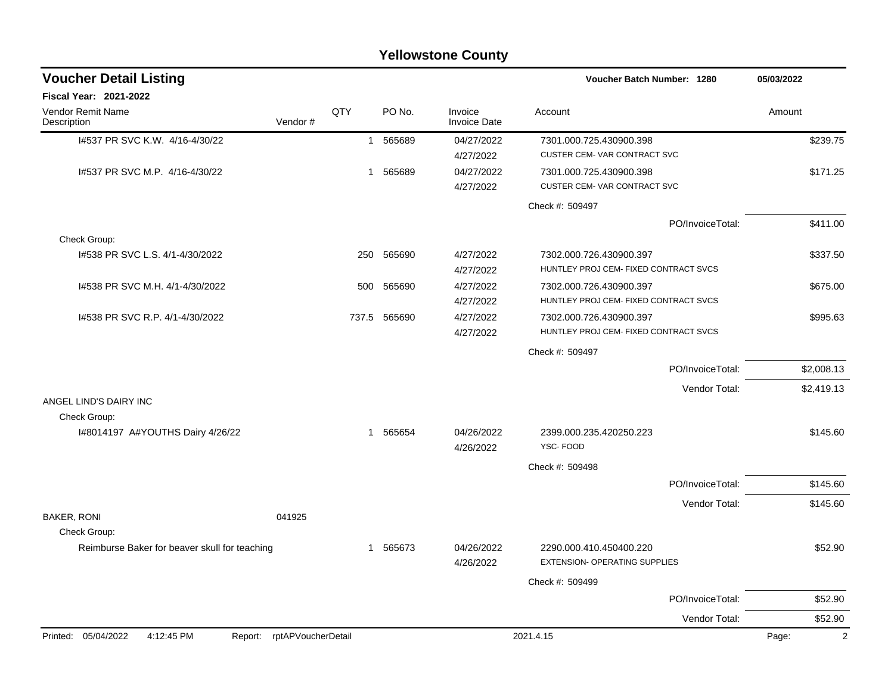|                                               |                    |              |              | <b>Yellowstone County</b>      |                                                                  |                         |
|-----------------------------------------------|--------------------|--------------|--------------|--------------------------------|------------------------------------------------------------------|-------------------------|
| <b>Voucher Detail Listing</b>                 |                    |              |              |                                | Voucher Batch Number: 1280                                       | 05/03/2022              |
| <b>Fiscal Year: 2021-2022</b>                 |                    |              |              |                                |                                                                  |                         |
| Vendor Remit Name<br>Description              | Vendor#            | QTY          | PO No.       | Invoice<br><b>Invoice Date</b> | Account                                                          | Amount                  |
| 1#537 PR SVC K.W. 4/16-4/30/22                |                    | 1            | 565689       | 04/27/2022<br>4/27/2022        | 7301.000.725.430900.398<br>CUSTER CEM- VAR CONTRACT SVC          | \$239.75                |
| 1#537 PR SVC M.P. 4/16-4/30/22                |                    | 1            | 565689       | 04/27/2022<br>4/27/2022        | 7301.000.725.430900.398<br>CUSTER CEM-VAR CONTRACT SVC           | \$171.25                |
|                                               |                    |              |              |                                | Check #: 509497                                                  |                         |
|                                               |                    |              |              |                                | PO/InvoiceTotal:                                                 | \$411.00                |
| Check Group:                                  |                    |              |              |                                |                                                                  |                         |
| 1#538 PR SVC L.S. 4/1-4/30/2022               |                    | 250          | 565690       | 4/27/2022<br>4/27/2022         | 7302.000.726.430900.397<br>HUNTLEY PROJ CEM- FIXED CONTRACT SVCS | \$337.50                |
| 1#538 PR SVC M.H. 4/1-4/30/2022               |                    | 500          | 565690       | 4/27/2022<br>4/27/2022         | 7302.000.726.430900.397<br>HUNTLEY PROJ CEM- FIXED CONTRACT SVCS | \$675.00                |
| I#538 PR SVC R.P. 4/1-4/30/2022               |                    |              | 737.5 565690 | 4/27/2022<br>4/27/2022         | 7302.000.726.430900.397<br>HUNTLEY PROJ CEM- FIXED CONTRACT SVCS | \$995.63                |
|                                               |                    |              |              |                                | Check #: 509497                                                  |                         |
|                                               |                    |              |              |                                | PO/InvoiceTotal:                                                 | \$2,008.13              |
|                                               |                    |              |              |                                | Vendor Total:                                                    | \$2,419.13              |
| ANGEL LIND'S DAIRY INC                        |                    |              |              |                                |                                                                  |                         |
| Check Group:                                  |                    |              |              |                                |                                                                  |                         |
| I#8014197 A#YOUTHS Dairy 4/26/22              |                    | 1            | 565654       | 04/26/2022<br>4/26/2022        | 2399.000.235.420250.223<br>YSC-FOOD                              | \$145.60                |
|                                               |                    |              |              |                                | Check #: 509498                                                  |                         |
|                                               |                    |              |              |                                | PO/InvoiceTotal:                                                 | \$145.60                |
|                                               |                    |              |              |                                | Vendor Total:                                                    | \$145.60                |
| <b>BAKER, RONI</b>                            | 041925             |              |              |                                |                                                                  |                         |
| Check Group:                                  |                    |              |              |                                |                                                                  |                         |
| Reimburse Baker for beaver skull for teaching |                    | $\mathbf{1}$ | 565673       | 04/26/2022<br>4/26/2022        | 2290.000.410.450400.220<br>EXTENSION- OPERATING SUPPLIES         | \$52.90                 |
|                                               |                    |              |              |                                | Check #: 509499                                                  |                         |
|                                               |                    |              |              |                                | PO/InvoiceTotal:                                                 | \$52.90                 |
|                                               |                    |              |              |                                | Vendor Total:                                                    | \$52.90                 |
| Printed: 05/04/2022<br>4:12:45 PM<br>Report:  | rptAPVoucherDetail |              |              |                                | 2021.4.15                                                        | Page:<br>$\overline{2}$ |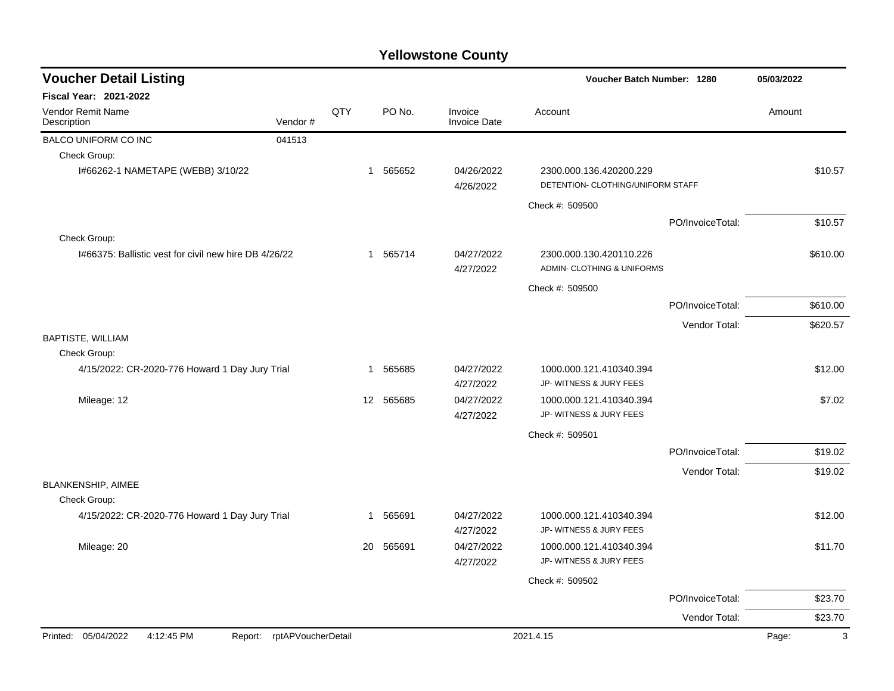| <b>Voucher Detail Listing</b>                         |                            |     |           |                                |                                                              | Voucher Batch Number: 1280 |          |  |
|-------------------------------------------------------|----------------------------|-----|-----------|--------------------------------|--------------------------------------------------------------|----------------------------|----------|--|
| <b>Fiscal Year: 2021-2022</b>                         |                            |     |           |                                |                                                              |                            |          |  |
| Vendor Remit Name<br>Description                      | Vendor#                    | QTY | PO No.    | Invoice<br><b>Invoice Date</b> | Account                                                      |                            | Amount   |  |
| BALCO UNIFORM CO INC                                  | 041513                     |     |           |                                |                                                              |                            |          |  |
| Check Group:                                          |                            |     |           |                                |                                                              |                            |          |  |
| I#66262-1 NAMETAPE (WEBB) 3/10/22                     |                            |     | 1 565652  | 04/26/2022<br>4/26/2022        | 2300.000.136.420200.229<br>DETENTION- CLOTHING/UNIFORM STAFF |                            | \$10.57  |  |
|                                                       |                            |     |           |                                | Check #: 509500                                              |                            |          |  |
|                                                       |                            |     |           |                                |                                                              | PO/InvoiceTotal:           | \$10.57  |  |
| Check Group:                                          |                            |     |           |                                |                                                              |                            |          |  |
| I#66375: Ballistic vest for civil new hire DB 4/26/22 |                            |     | 1 565714  | 04/27/2022<br>4/27/2022        | 2300.000.130.420110.226<br>ADMIN- CLOTHING & UNIFORMS        |                            | \$610.00 |  |
|                                                       |                            |     |           |                                | Check #: 509500                                              |                            |          |  |
|                                                       |                            |     |           |                                |                                                              | PO/InvoiceTotal:           | \$610.00 |  |
|                                                       |                            |     |           |                                |                                                              | Vendor Total:              | \$620.57 |  |
| <b>BAPTISTE, WILLIAM</b>                              |                            |     |           |                                |                                                              |                            |          |  |
| Check Group:                                          |                            |     |           |                                |                                                              |                            |          |  |
| 4/15/2022: CR-2020-776 Howard 1 Day Jury Trial        |                            | 1.  | 565685    | 04/27/2022<br>4/27/2022        | 1000.000.121.410340.394<br>JP- WITNESS & JURY FEES           |                            | \$12.00  |  |
| Mileage: 12                                           |                            |     | 12 565685 | 04/27/2022                     | 1000.000.121.410340.394                                      |                            | \$7.02   |  |
|                                                       |                            |     |           | 4/27/2022                      | JP- WITNESS & JURY FEES                                      |                            |          |  |
|                                                       |                            |     |           |                                | Check #: 509501                                              |                            |          |  |
|                                                       |                            |     |           |                                |                                                              | PO/InvoiceTotal:           | \$19.02  |  |
|                                                       |                            |     |           |                                |                                                              | Vendor Total:              | \$19.02  |  |
| BLANKENSHIP, AIMEE                                    |                            |     |           |                                |                                                              |                            |          |  |
| Check Group:                                          |                            |     |           |                                |                                                              |                            |          |  |
| 4/15/2022: CR-2020-776 Howard 1 Day Jury Trial        |                            | 1   | 565691    | 04/27/2022<br>4/27/2022        | 1000.000.121.410340.394<br>JP- WITNESS & JURY FEES           |                            | \$12.00  |  |
| Mileage: 20                                           |                            |     | 20 565691 | 04/27/2022                     | 1000.000.121.410340.394                                      |                            | \$11.70  |  |
|                                                       |                            |     |           | 4/27/2022                      | JP- WITNESS & JURY FEES                                      |                            |          |  |
|                                                       |                            |     |           |                                | Check #: 509502                                              |                            |          |  |
|                                                       |                            |     |           |                                |                                                              | PO/InvoiceTotal:           | \$23.70  |  |
|                                                       |                            |     |           |                                |                                                              | Vendor Total:              | \$23.70  |  |
| Printed: 05/04/2022<br>4:12:45 PM                     | Report: rptAPVoucherDetail |     |           |                                | 2021.4.15                                                    |                            | Page:    |  |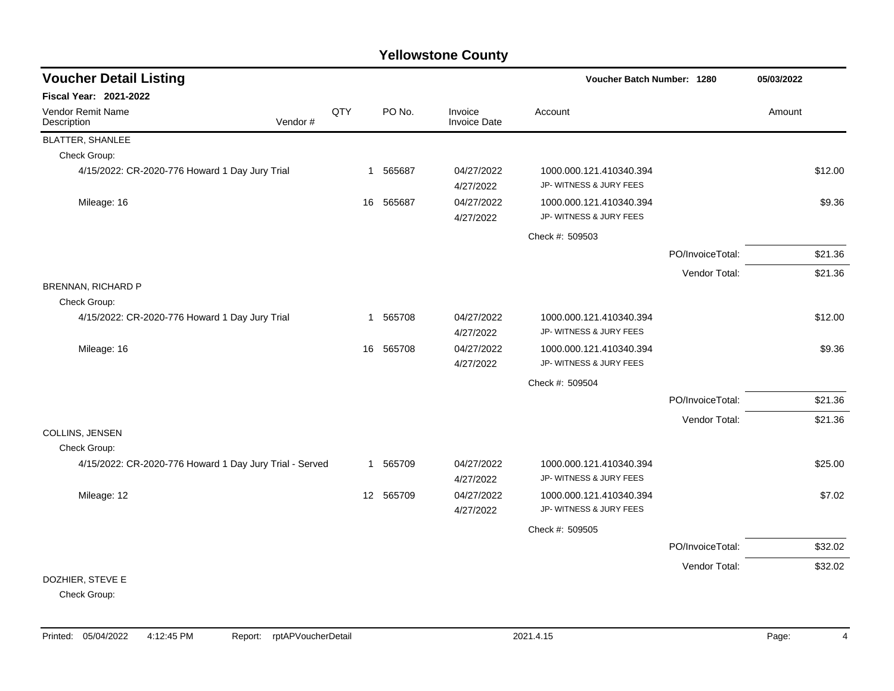| <b>Voucher Detail Listing</b>                           |         |     |             |           |                                |                         | Voucher Batch Number: 1280 |        |         |
|---------------------------------------------------------|---------|-----|-------------|-----------|--------------------------------|-------------------------|----------------------------|--------|---------|
| Fiscal Year: 2021-2022                                  |         |     |             |           |                                |                         |                            |        |         |
| Vendor Remit Name<br>Description                        | Vendor# | QTY |             | PO No.    | Invoice<br><b>Invoice Date</b> | Account                 |                            | Amount |         |
| <b>BLATTER, SHANLEE</b>                                 |         |     |             |           |                                |                         |                            |        |         |
| Check Group:                                            |         |     |             |           |                                |                         |                            |        |         |
| 4/15/2022: CR-2020-776 Howard 1 Day Jury Trial          |         |     | $\mathbf 1$ | 565687    | 04/27/2022                     | 1000.000.121.410340.394 |                            |        | \$12.00 |
|                                                         |         |     |             |           | 4/27/2022                      | JP- WITNESS & JURY FEES |                            |        |         |
| Mileage: 16                                             |         |     | 16          | 565687    | 04/27/2022                     | 1000.000.121.410340.394 |                            |        | \$9.36  |
|                                                         |         |     |             |           | 4/27/2022                      | JP- WITNESS & JURY FEES |                            |        |         |
|                                                         |         |     |             |           |                                | Check #: 509503         |                            |        |         |
|                                                         |         |     |             |           |                                |                         | PO/InvoiceTotal:           |        | \$21.36 |
|                                                         |         |     |             |           |                                |                         | Vendor Total:              |        | \$21.36 |
| BRENNAN, RICHARD P                                      |         |     |             |           |                                |                         |                            |        |         |
| Check Group:                                            |         |     |             |           |                                |                         |                            |        |         |
| 4/15/2022: CR-2020-776 Howard 1 Day Jury Trial          |         |     | -1          | 565708    | 04/27/2022                     | 1000.000.121.410340.394 |                            |        | \$12.00 |
|                                                         |         |     |             |           | 4/27/2022                      | JP- WITNESS & JURY FEES |                            |        |         |
| Mileage: 16                                             |         |     | 16          | 565708    | 04/27/2022                     | 1000.000.121.410340.394 |                            |        | \$9.36  |
|                                                         |         |     |             |           | 4/27/2022                      | JP- WITNESS & JURY FEES |                            |        |         |
|                                                         |         |     |             |           |                                | Check #: 509504         |                            |        |         |
|                                                         |         |     |             |           |                                |                         | PO/InvoiceTotal:           |        | \$21.36 |
|                                                         |         |     |             |           |                                |                         | Vendor Total:              |        | \$21.36 |
| COLLINS, JENSEN                                         |         |     |             |           |                                |                         |                            |        |         |
| Check Group:                                            |         |     |             |           |                                |                         |                            |        |         |
| 4/15/2022: CR-2020-776 Howard 1 Day Jury Trial - Served |         |     |             | 1 565709  | 04/27/2022                     | 1000.000.121.410340.394 |                            |        | \$25.00 |
|                                                         |         |     |             |           | 4/27/2022                      | JP- WITNESS & JURY FEES |                            |        |         |
| Mileage: 12                                             |         |     |             | 12 565709 | 04/27/2022                     | 1000.000.121.410340.394 |                            |        | \$7.02  |
|                                                         |         |     |             |           | 4/27/2022                      | JP- WITNESS & JURY FEES |                            |        |         |
|                                                         |         |     |             |           |                                | Check #: 509505         |                            |        |         |
|                                                         |         |     |             |           |                                |                         | PO/InvoiceTotal:           |        | \$32.02 |
|                                                         |         |     |             |           |                                |                         | Vendor Total:              |        | \$32.02 |
| DOZHIER, STEVE E                                        |         |     |             |           |                                |                         |                            |        |         |
|                                                         |         |     |             |           |                                |                         |                            |        |         |

Check Group: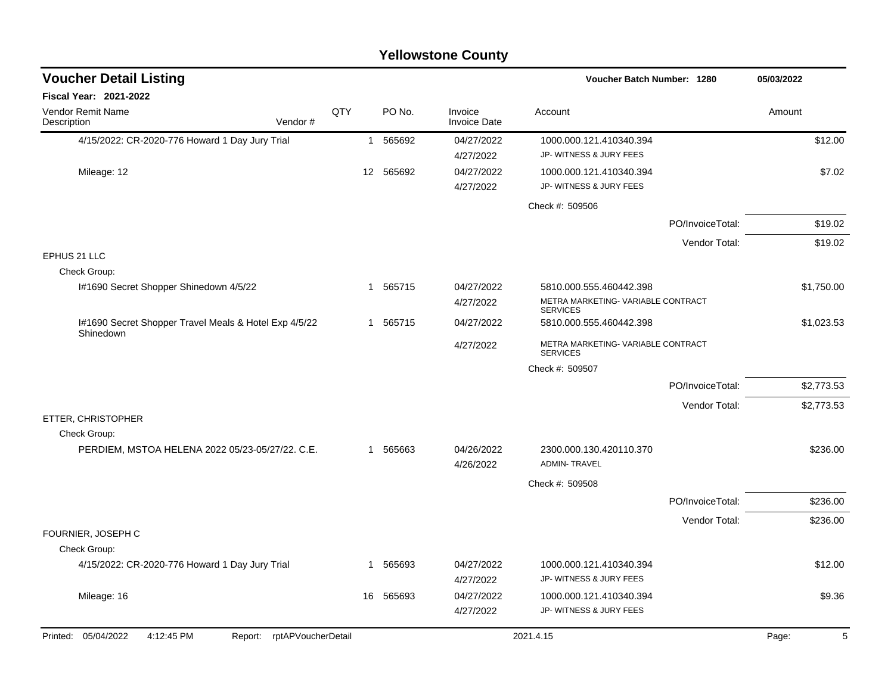| <b>Voucher Detail Listing</b>                                      |     |                        |                                | Voucher Batch Number: 1280                            | 05/03/2022       |            |
|--------------------------------------------------------------------|-----|------------------------|--------------------------------|-------------------------------------------------------|------------------|------------|
| <b>Fiscal Year: 2021-2022</b>                                      |     |                        |                                |                                                       |                  |            |
| Vendor Remit Name<br>Description<br>Vendor#                        | QTY | PO No.                 | Invoice<br><b>Invoice Date</b> | Account                                               |                  | Amount     |
| 4/15/2022: CR-2020-776 Howard 1 Day Jury Trial                     |     | 565692<br>$\mathbf{1}$ | 04/27/2022                     | 1000.000.121.410340.394                               |                  | \$12.00    |
|                                                                    |     |                        | 4/27/2022                      | JP- WITNESS & JURY FEES                               |                  |            |
| Mileage: 12                                                        |     | 12 565692              | 04/27/2022                     | 1000.000.121.410340.394                               |                  | \$7.02     |
|                                                                    |     |                        | 4/27/2022                      | JP- WITNESS & JURY FEES                               |                  |            |
|                                                                    |     |                        |                                | Check #: 509506                                       |                  |            |
|                                                                    |     |                        |                                |                                                       | PO/InvoiceTotal: | \$19.02    |
|                                                                    |     |                        |                                |                                                       | Vendor Total:    | \$19.02    |
| EPHUS 21 LLC                                                       |     |                        |                                |                                                       |                  |            |
| Check Group:                                                       |     |                        |                                |                                                       |                  |            |
| I#1690 Secret Shopper Shinedown 4/5/22                             |     | 565715<br>$\mathbf 1$  | 04/27/2022                     | 5810.000.555.460442.398                               |                  | \$1,750.00 |
|                                                                    |     |                        | 4/27/2022                      | METRA MARKETING- VARIABLE CONTRACT<br><b>SERVICES</b> |                  |            |
| I#1690 Secret Shopper Travel Meals & Hotel Exp 4/5/22<br>Shinedown |     | 1 565715               | 04/27/2022                     | 5810.000.555.460442.398                               |                  | \$1,023.53 |
|                                                                    |     |                        | 4/27/2022                      | METRA MARKETING- VARIABLE CONTRACT<br><b>SERVICES</b> |                  |            |
|                                                                    |     |                        |                                | Check #: 509507                                       |                  |            |
|                                                                    |     |                        |                                |                                                       | PO/InvoiceTotal: | \$2,773.53 |
|                                                                    |     |                        |                                |                                                       | Vendor Total:    | \$2,773.53 |
| ETTER, CHRISTOPHER                                                 |     |                        |                                |                                                       |                  |            |
| Check Group:                                                       |     |                        |                                |                                                       |                  |            |
| PERDIEM, MSTOA HELENA 2022 05/23-05/27/22. C.E.                    |     | 565663<br>-1           | 04/26/2022<br>4/26/2022        | 2300.000.130.420110.370<br><b>ADMIN-TRAVEL</b>        |                  | \$236.00   |
|                                                                    |     |                        |                                | Check #: 509508                                       |                  |            |
|                                                                    |     |                        |                                |                                                       | PO/InvoiceTotal: | \$236.00   |
|                                                                    |     |                        |                                |                                                       | Vendor Total:    | \$236.00   |
| FOURNIER, JOSEPH C                                                 |     |                        |                                |                                                       |                  |            |
| Check Group:                                                       |     |                        |                                |                                                       |                  |            |
| 4/15/2022: CR-2020-776 Howard 1 Day Jury Trial                     |     | 565693<br>1            | 04/27/2022                     | 1000.000.121.410340.394                               |                  | \$12.00    |
|                                                                    |     |                        | 4/27/2022                      | JP- WITNESS & JURY FEES                               |                  |            |
| Mileage: 16                                                        |     | 565693<br>16           | 04/27/2022                     | 1000.000.121.410340.394                               |                  | \$9.36     |
|                                                                    |     |                        | 4/27/2022                      | JP- WITNESS & JURY FEES                               |                  |            |
| Printed: 05/04/2022<br>4:12:45 PM<br>rptAPVoucherDetail<br>Report: |     |                        |                                | 2021.4.15                                             |                  | 5<br>Page: |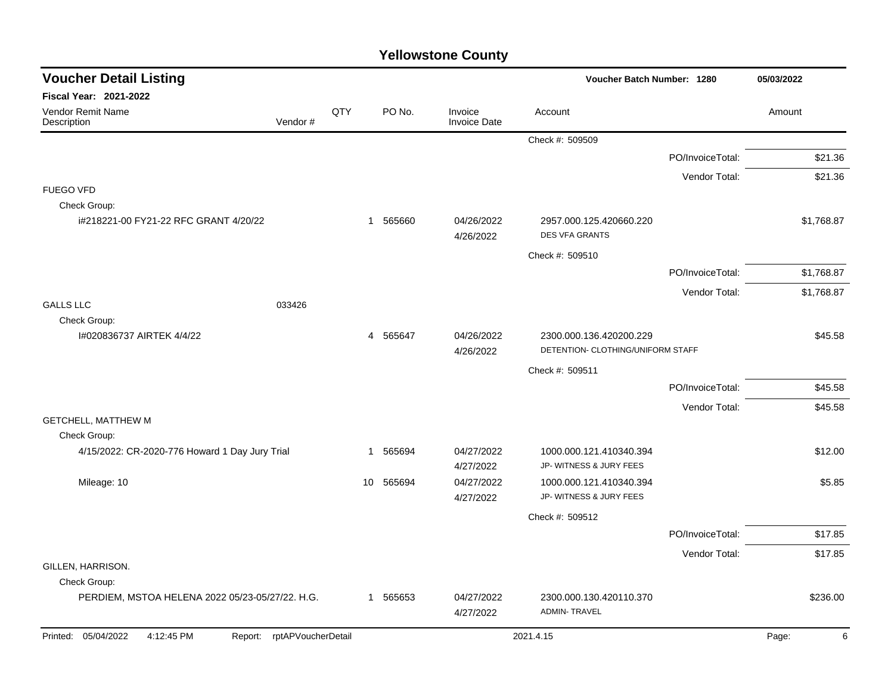| <b>Voucher Detail Listing</b>                   |                    |     |                          |                                |                                                              | Voucher Batch Number: 1280 |            |        |
|-------------------------------------------------|--------------------|-----|--------------------------|--------------------------------|--------------------------------------------------------------|----------------------------|------------|--------|
| Fiscal Year: 2021-2022                          |                    |     |                          |                                |                                                              |                            |            |        |
| <b>Vendor Remit Name</b><br>Description         | Vendor#            | QTY | PO No.                   | Invoice<br><b>Invoice Date</b> | Account                                                      |                            | Amount     |        |
|                                                 |                    |     |                          |                                | Check #: 509509                                              |                            |            |        |
|                                                 |                    |     |                          |                                |                                                              | PO/InvoiceTotal:           | \$21.36    |        |
|                                                 |                    |     |                          |                                |                                                              | Vendor Total:              | \$21.36    |        |
| <b>FUEGO VFD</b>                                |                    |     |                          |                                |                                                              |                            |            |        |
| Check Group:                                    |                    |     |                          |                                |                                                              |                            |            |        |
| i#218221-00 FY21-22 RFC GRANT 4/20/22           |                    |     | 1 565660                 | 04/26/2022<br>4/26/2022        | 2957.000.125.420660.220<br><b>DES VFA GRANTS</b>             |                            | \$1,768.87 |        |
|                                                 |                    |     |                          |                                | Check #: 509510                                              |                            |            |        |
|                                                 |                    |     |                          |                                |                                                              | PO/InvoiceTotal:           | \$1,768.87 |        |
|                                                 |                    |     |                          |                                |                                                              | Vendor Total:              | \$1,768.87 |        |
| <b>GALLS LLC</b><br>033426                      |                    |     |                          |                                |                                                              |                            |            |        |
| Check Group:                                    |                    |     |                          |                                |                                                              |                            |            |        |
| I#020836737 AIRTEK 4/4/22                       |                    |     | 565647<br>$\overline{4}$ | 04/26/2022<br>4/26/2022        | 2300.000.136.420200.229<br>DETENTION- CLOTHING/UNIFORM STAFF |                            | \$45.58    |        |
|                                                 |                    |     |                          |                                | Check #: 509511                                              |                            |            |        |
|                                                 |                    |     |                          |                                |                                                              | PO/InvoiceTotal:           | \$45.58    |        |
|                                                 |                    |     |                          |                                |                                                              | Vendor Total:              | \$45.58    |        |
| <b>GETCHELL, MATTHEW M</b>                      |                    |     |                          |                                |                                                              |                            |            |        |
| Check Group:                                    |                    |     |                          |                                |                                                              |                            |            |        |
| 4/15/2022: CR-2020-776 Howard 1 Day Jury Trial  |                    |     | 565694<br>1              | 04/27/2022<br>4/27/2022        | 1000.000.121.410340.394<br>JP- WITNESS & JURY FEES           |                            | \$12.00    |        |
| Mileage: 10                                     |                    |     | 565694<br>10             | 04/27/2022                     | 1000.000.121.410340.394                                      |                            |            | \$5.85 |
|                                                 |                    |     |                          | 4/27/2022                      | JP- WITNESS & JURY FEES                                      |                            |            |        |
|                                                 |                    |     |                          |                                | Check #: 509512                                              |                            |            |        |
|                                                 |                    |     |                          |                                |                                                              | PO/InvoiceTotal:           | \$17.85    |        |
|                                                 |                    |     |                          |                                |                                                              | Vendor Total:              | \$17.85    |        |
| GILLEN, HARRISON.                               |                    |     |                          |                                |                                                              |                            |            |        |
| Check Group:                                    |                    |     |                          |                                |                                                              |                            |            |        |
| PERDIEM, MSTOA HELENA 2022 05/23-05/27/22. H.G. |                    |     | 1 565653                 | 04/27/2022<br>4/27/2022        | 2300.000.130.420110.370<br><b>ADMIN-TRAVEL</b>               |                            | \$236.00   |        |
| Printed: 05/04/2022<br>4:12:45 PM<br>Report:    | rptAPVoucherDetail |     |                          |                                | 2021.4.15                                                    |                            | Page:      | 6      |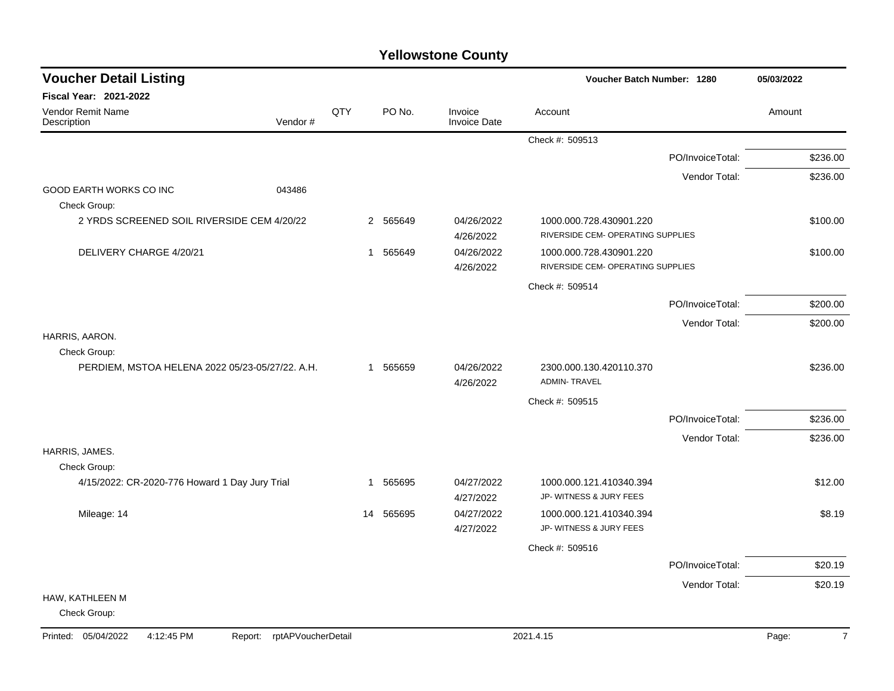| <b>Voucher Detail Listing</b>                                   |                               |     |          |                                | Voucher Batch Number: 1280                                   |                  | 05/03/2022              |
|-----------------------------------------------------------------|-------------------------------|-----|----------|--------------------------------|--------------------------------------------------------------|------------------|-------------------------|
| Fiscal Year: 2021-2022                                          |                               |     |          |                                |                                                              |                  |                         |
| Vendor Remit Name<br>Description                                | Vendor#                       | QTY | PO No.   | Invoice<br><b>Invoice Date</b> | Account                                                      |                  | Amount                  |
|                                                                 |                               |     |          |                                | Check #: 509513                                              |                  |                         |
|                                                                 |                               |     |          |                                |                                                              | PO/InvoiceTotal: | \$236.00                |
|                                                                 |                               |     |          |                                |                                                              | Vendor Total:    | \$236.00                |
| GOOD EARTH WORKS CO INC<br>Check Group:                         | 043486                        |     |          |                                |                                                              |                  |                         |
| 2 YRDS SCREENED SOIL RIVERSIDE CEM 4/20/22                      |                               | 2   | 565649   | 04/26/2022<br>4/26/2022        | 1000.000.728.430901.220<br>RIVERSIDE CEM- OPERATING SUPPLIES |                  | \$100.00                |
| DELIVERY CHARGE 4/20/21                                         |                               | 1   | 565649   | 04/26/2022<br>4/26/2022        | 1000.000.728.430901.220<br>RIVERSIDE CEM- OPERATING SUPPLIES |                  | \$100.00                |
|                                                                 |                               |     |          |                                | Check #: 509514                                              |                  |                         |
|                                                                 |                               |     |          |                                |                                                              | PO/InvoiceTotal: | \$200.00                |
|                                                                 |                               |     |          |                                |                                                              | Vendor Total:    | \$200.00                |
| HARRIS, AARON.                                                  |                               |     |          |                                |                                                              |                  |                         |
| Check Group:<br>PERDIEM, MSTOA HELENA 2022 05/23-05/27/22. A.H. |                               |     | 1 565659 | 04/26/2022                     | 2300.000.130.420110.370                                      |                  | \$236.00                |
|                                                                 |                               |     |          | 4/26/2022                      | <b>ADMIN-TRAVEL</b>                                          |                  |                         |
|                                                                 |                               |     |          |                                | Check #: 509515                                              |                  |                         |
|                                                                 |                               |     |          |                                |                                                              | PO/InvoiceTotal: | \$236.00                |
|                                                                 |                               |     |          |                                |                                                              | Vendor Total:    | \$236.00                |
| HARRIS, JAMES.                                                  |                               |     |          |                                |                                                              |                  |                         |
| Check Group:                                                    |                               |     |          |                                |                                                              |                  |                         |
| 4/15/2022: CR-2020-776 Howard 1 Day Jury Trial                  |                               | 1   | 565695   | 04/27/2022<br>4/27/2022        | 1000.000.121.410340.394<br>JP-WITNESS & JURY FEES            |                  | \$12.00                 |
| Mileage: 14                                                     |                               | 14  | 565695   | 04/27/2022<br>4/27/2022        | 1000.000.121.410340.394<br>JP- WITNESS & JURY FEES           |                  | \$8.19                  |
|                                                                 |                               |     |          |                                | Check #: 509516                                              |                  |                         |
|                                                                 |                               |     |          |                                |                                                              | PO/InvoiceTotal: | \$20.19                 |
|                                                                 |                               |     |          |                                |                                                              | Vendor Total:    | \$20.19                 |
| HAW, KATHLEEN M<br>Check Group:                                 |                               |     |          |                                |                                                              |                  |                         |
| Printed: 05/04/2022<br>4:12:45 PM                               | rptAPVoucherDetail<br>Report: |     |          |                                | 2021.4.15                                                    |                  | $\overline{7}$<br>Page: |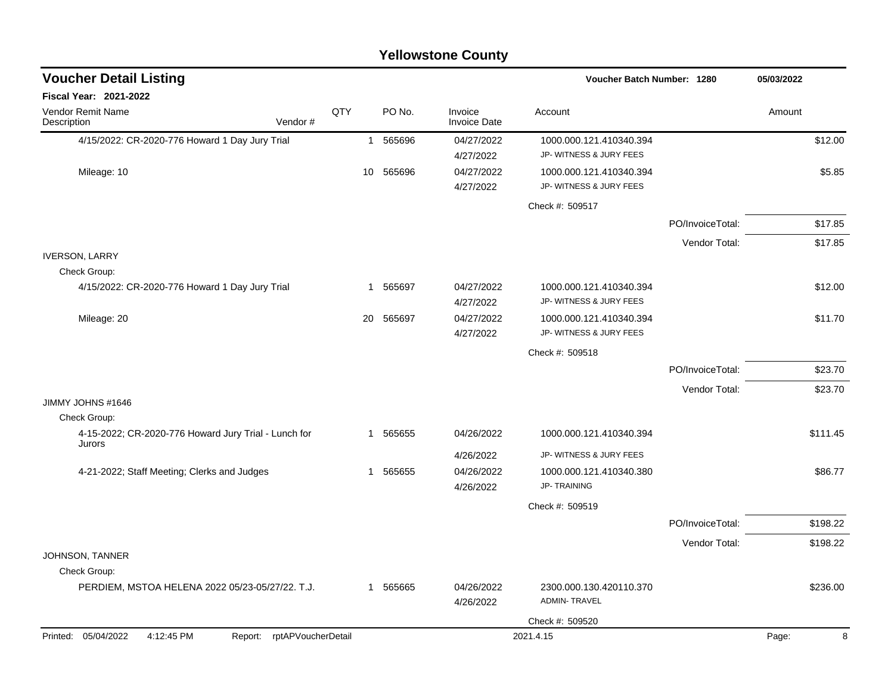| <b>Voucher Detail Listing</b>                                  |                    |     |           |                                | Voucher Batch Number: 1280 |                  | 05/03/2022 |          |
|----------------------------------------------------------------|--------------------|-----|-----------|--------------------------------|----------------------------|------------------|------------|----------|
| <b>Fiscal Year: 2021-2022</b>                                  |                    |     |           |                                |                            |                  |            |          |
| Vendor Remit Name<br>Description                               | Vendor#            | QTY | PO No.    | Invoice<br><b>Invoice Date</b> | Account                    |                  | Amount     |          |
| 4/15/2022: CR-2020-776 Howard 1 Day Jury Trial                 |                    |     | 1 565696  | 04/27/2022                     | 1000.000.121.410340.394    |                  |            | \$12.00  |
|                                                                |                    |     |           | 4/27/2022                      | JP- WITNESS & JURY FEES    |                  |            |          |
| Mileage: 10                                                    |                    |     | 10 565696 | 04/27/2022                     | 1000.000.121.410340.394    |                  |            | \$5.85   |
|                                                                |                    |     |           | 4/27/2022                      | JP- WITNESS & JURY FEES    |                  |            |          |
|                                                                |                    |     |           |                                | Check #: 509517            |                  |            |          |
|                                                                |                    |     |           |                                |                            | PO/InvoiceTotal: |            | \$17.85  |
|                                                                |                    |     |           |                                |                            | Vendor Total:    |            | \$17.85  |
| <b>IVERSON, LARRY</b>                                          |                    |     |           |                                |                            |                  |            |          |
| Check Group:                                                   |                    |     |           |                                |                            |                  |            |          |
| 4/15/2022: CR-2020-776 Howard 1 Day Jury Trial                 |                    |     | 1 565697  | 04/27/2022                     | 1000.000.121.410340.394    |                  |            | \$12.00  |
|                                                                |                    |     |           | 4/27/2022                      | JP- WITNESS & JURY FEES    |                  |            |          |
| Mileage: 20                                                    |                    |     | 20 565697 | 04/27/2022                     | 1000.000.121.410340.394    |                  |            | \$11.70  |
|                                                                |                    |     |           | 4/27/2022                      | JP- WITNESS & JURY FEES    |                  |            |          |
|                                                                |                    |     |           |                                | Check #: 509518            |                  |            |          |
|                                                                |                    |     |           |                                |                            | PO/InvoiceTotal: |            | \$23.70  |
|                                                                |                    |     |           |                                |                            | Vendor Total:    |            | \$23.70  |
| JIMMY JOHNS #1646                                              |                    |     |           |                                |                            |                  |            |          |
| Check Group:                                                   |                    |     |           |                                |                            |                  |            |          |
| 4-15-2022; CR-2020-776 Howard Jury Trial - Lunch for<br>Jurors |                    |     | 1 565655  | 04/26/2022                     | 1000.000.121.410340.394    |                  |            | \$111.45 |
|                                                                |                    |     |           | 4/26/2022                      | JP- WITNESS & JURY FEES    |                  |            |          |
| 4-21-2022; Staff Meeting; Clerks and Judges                    |                    | -1  | 565655    | 04/26/2022                     | 1000.000.121.410340.380    |                  |            | \$86.77  |
|                                                                |                    |     |           | 4/26/2022                      | <b>JP-TRAINING</b>         |                  |            |          |
|                                                                |                    |     |           |                                | Check #: 509519            |                  |            |          |
|                                                                |                    |     |           |                                |                            | PO/InvoiceTotal: |            | \$198.22 |
|                                                                |                    |     |           |                                |                            | Vendor Total:    |            | \$198.22 |
| JOHNSON, TANNER                                                |                    |     |           |                                |                            |                  |            |          |
| Check Group:                                                   |                    |     |           |                                |                            |                  |            |          |
| PERDIEM, MSTOA HELENA 2022 05/23-05/27/22. T.J.                |                    |     | 1 565665  | 04/26/2022                     | 2300.000.130.420110.370    |                  |            | \$236.00 |
|                                                                |                    |     |           | 4/26/2022                      | <b>ADMIN-TRAVEL</b>        |                  |            |          |
|                                                                |                    |     |           |                                | Check #: 509520            |                  |            |          |
| Printed: 05/04/2022<br>4:12:45 PM<br>Report:                   | rptAPVoucherDetail |     |           |                                | 2021.4.15                  |                  | Page:      | 8        |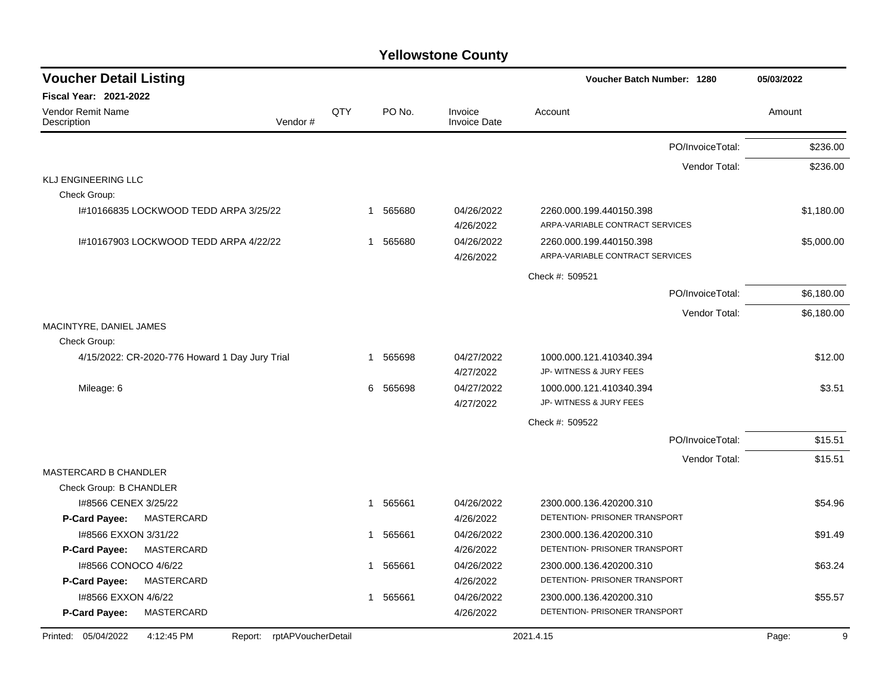| <b>Voucher Detail Listing</b>                  |                               |     |                        |                                | <b>Voucher Batch Number: 1280</b>                          |                  | 05/03/2022 |
|------------------------------------------------|-------------------------------|-----|------------------------|--------------------------------|------------------------------------------------------------|------------------|------------|
| <b>Fiscal Year: 2021-2022</b>                  |                               |     |                        |                                |                                                            |                  |            |
| <b>Vendor Remit Name</b><br>Description        | Vendor#                       | QTY | PO No.                 | Invoice<br><b>Invoice Date</b> | Account                                                    |                  | Amount     |
|                                                |                               |     |                        |                                |                                                            | PO/InvoiceTotal: | \$236.00   |
|                                                |                               |     |                        |                                |                                                            | Vendor Total:    | \$236.00   |
| <b>KLJ ENGINEERING LLC</b>                     |                               |     |                        |                                |                                                            |                  |            |
| Check Group:                                   |                               |     |                        |                                |                                                            |                  |            |
| I#10166835 LOCKWOOD TEDD ARPA 3/25/22          |                               |     | 565680<br>$\mathbf{1}$ | 04/26/2022<br>4/26/2022        | 2260.000.199.440150.398<br>ARPA-VARIABLE CONTRACT SERVICES |                  | \$1,180.00 |
| I#10167903 LOCKWOOD TEDD ARPA 4/22/22          |                               |     | 565680<br>1            | 04/26/2022<br>4/26/2022        | 2260.000.199.440150.398<br>ARPA-VARIABLE CONTRACT SERVICES |                  | \$5,000.00 |
|                                                |                               |     |                        |                                | Check #: 509521                                            |                  |            |
|                                                |                               |     |                        |                                |                                                            | PO/InvoiceTotal: | \$6,180.00 |
|                                                |                               |     |                        |                                |                                                            | Vendor Total:    | \$6,180.00 |
| MACINTYRE, DANIEL JAMES                        |                               |     |                        |                                |                                                            |                  |            |
| Check Group:                                   |                               |     |                        |                                |                                                            |                  |            |
| 4/15/2022: CR-2020-776 Howard 1 Day Jury Trial |                               |     | 565698<br>$\mathbf{1}$ | 04/27/2022<br>4/27/2022        | 1000.000.121.410340.394<br>JP- WITNESS & JURY FEES         |                  | \$12.00    |
| Mileage: 6                                     |                               |     | 565698<br>6            | 04/27/2022<br>4/27/2022        | 1000.000.121.410340.394<br>JP- WITNESS & JURY FEES         |                  | \$3.51     |
|                                                |                               |     |                        |                                | Check #: 509522                                            |                  |            |
|                                                |                               |     |                        |                                |                                                            | PO/InvoiceTotal: | \$15.51    |
|                                                |                               |     |                        |                                |                                                            | Vendor Total:    | \$15.51    |
| <b>MASTERCARD B CHANDLER</b>                   |                               |     |                        |                                |                                                            |                  |            |
| Check Group: B CHANDLER                        |                               |     |                        |                                |                                                            |                  |            |
| I#8566 CENEX 3/25/22                           |                               |     | 565661<br>1            | 04/26/2022                     | 2300.000.136.420200.310                                    |                  | \$54.96    |
| MASTERCARD<br><b>P-Card Payee:</b>             |                               |     |                        | 4/26/2022                      | DETENTION- PRISONER TRANSPORT                              |                  |            |
| I#8566 EXXON 3/31/22                           |                               |     | 565661<br>1            | 04/26/2022                     | 2300.000.136.420200.310                                    |                  | \$91.49    |
| MASTERCARD<br><b>P-Card Payee:</b>             |                               |     |                        | 4/26/2022                      | DETENTION- PRISONER TRANSPORT                              |                  |            |
| I#8566 CONOCO 4/6/22                           |                               |     | 565661<br>1            | 04/26/2022                     | 2300.000.136.420200.310                                    |                  | \$63.24    |
| P-Card Payee:<br>MASTERCARD                    |                               |     |                        | 4/26/2022                      | DETENTION- PRISONER TRANSPORT                              |                  |            |
| I#8566 EXXON 4/6/22                            |                               |     | 565661<br>1            | 04/26/2022                     | 2300.000.136.420200.310                                    |                  | \$55.57    |
| P-Card Payee:<br>MASTERCARD                    |                               |     |                        | 4/26/2022                      | DETENTION- PRISONER TRANSPORT                              |                  |            |
| 05/04/2022<br>Printed:<br>4:12:45 PM           | rptAPVoucherDetail<br>Report: |     |                        |                                | 2021.4.15                                                  |                  | 9<br>Page: |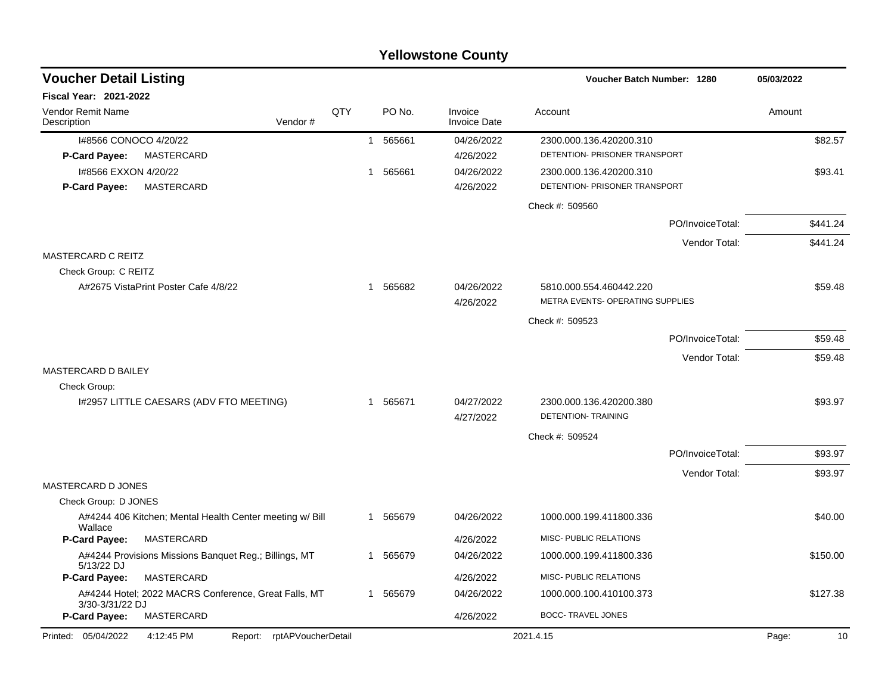|                                                                         |     |                        | <b>Yellowstone County</b>      |                                                       |                  |            |          |
|-------------------------------------------------------------------------|-----|------------------------|--------------------------------|-------------------------------------------------------|------------------|------------|----------|
| <b>Voucher Detail Listing</b>                                           |     |                        |                                | Voucher Batch Number: 1280                            |                  | 05/03/2022 |          |
| <b>Fiscal Year: 2021-2022</b>                                           |     |                        |                                |                                                       |                  |            |          |
| <b>Vendor Remit Name</b><br>Vendor#<br>Description                      | QTY | PO <sub>No</sub>       | Invoice<br><b>Invoice Date</b> | Account                                               |                  | Amount     |          |
| I#8566 CONOCO 4/20/22                                                   |     | 565661<br>$\mathbf{1}$ | 04/26/2022                     | 2300.000.136.420200.310                               |                  |            | \$82.57  |
| P-Card Payee:<br>MASTERCARD                                             |     |                        | 4/26/2022                      | DETENTION- PRISONER TRANSPORT                         |                  |            |          |
| 1#8566 EXXON 4/20/22                                                    |     | 565661<br>1            | 04/26/2022                     | 2300.000.136.420200.310                               |                  |            | \$93.41  |
| MASTERCARD<br>P-Card Payee:                                             |     |                        | 4/26/2022                      | DETENTION- PRISONER TRANSPORT                         |                  |            |          |
|                                                                         |     |                        |                                | Check #: 509560                                       |                  |            |          |
|                                                                         |     |                        |                                |                                                       | PO/InvoiceTotal: |            | \$441.24 |
|                                                                         |     |                        |                                |                                                       | Vendor Total:    |            | \$441.24 |
| <b>MASTERCARD C REITZ</b>                                               |     |                        |                                |                                                       |                  |            |          |
| Check Group: C REITZ                                                    |     |                        |                                |                                                       |                  |            |          |
| A#2675 VistaPrint Poster Cafe 4/8/22                                    |     | 565682<br>1            | 04/26/2022                     | 5810.000.554.460442.220                               |                  |            | \$59.48  |
|                                                                         |     |                        | 4/26/2022                      | METRA EVENTS- OPERATING SUPPLIES                      |                  |            |          |
|                                                                         |     |                        |                                | Check #: 509523                                       |                  |            |          |
|                                                                         |     |                        |                                |                                                       | PO/InvoiceTotal: |            | \$59.48  |
|                                                                         |     |                        |                                |                                                       | Vendor Total:    |            | \$59.48  |
| MASTERCARD D BAILEY                                                     |     |                        |                                |                                                       |                  |            |          |
| Check Group:                                                            |     |                        |                                |                                                       |                  |            |          |
| I#2957 LITTLE CAESARS (ADV FTO MEETING)                                 |     | 565671<br>1.           | 04/27/2022<br>4/27/2022        | 2300.000.136.420200.380<br><b>DETENTION- TRAINING</b> |                  |            | \$93.97  |
|                                                                         |     |                        |                                | Check #: 509524                                       |                  |            |          |
|                                                                         |     |                        |                                |                                                       | PO/InvoiceTotal: |            | \$93.97  |
|                                                                         |     |                        |                                |                                                       | Vendor Total:    |            | \$93.97  |
| MASTERCARD D JONES                                                      |     |                        |                                |                                                       |                  |            |          |
| Check Group: D JONES                                                    |     |                        |                                |                                                       |                  |            |          |
| A#4244 406 Kitchen; Mental Health Center meeting w/ Bill<br>Wallace     |     | 565679<br>1            | 04/26/2022                     | 1000.000.199.411800.336                               |                  |            | \$40.00  |
| P-Card Payee:<br>MASTERCARD                                             |     |                        | 4/26/2022                      | MISC- PUBLIC RELATIONS                                |                  |            |          |
| A#4244 Provisions Missions Banquet Reg.; Billings, MT<br>5/13/22 DJ     |     | 1 565679               | 04/26/2022                     | 1000.000.199.411800.336                               |                  |            | \$150.00 |
| P-Card Payee:<br>MASTERCARD                                             |     |                        | 4/26/2022                      | MISC- PUBLIC RELATIONS                                |                  |            |          |
| A#4244 Hotel; 2022 MACRS Conference, Great Falls, MT<br>3/30-3/31/22 DJ |     | 1 565679               | 04/26/2022                     | 1000.000.100.410100.373                               |                  |            | \$127.38 |
| P-Card Payee:<br>MASTERCARD                                             |     |                        | 4/26/2022                      | <b>BOCC- TRAVEL JONES</b>                             |                  |            |          |
| Printed: 05/04/2022<br>4:12:45 PM<br>Report: rptAPVoucherDetail         |     |                        |                                | 2021.4.15                                             |                  | Page:      | 10       |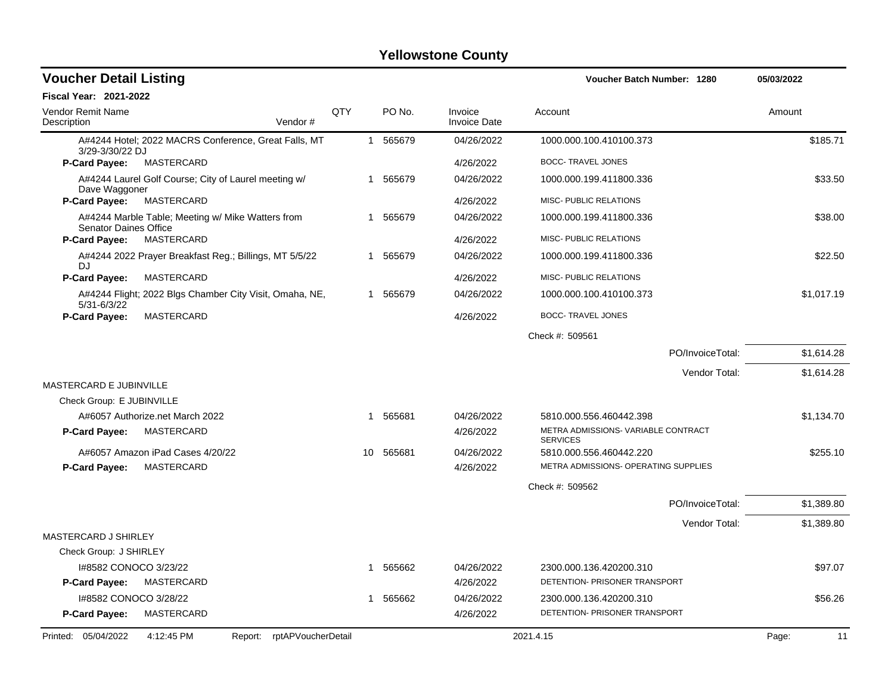| <b>Voucher Detail Listing</b>    |                                                         |                 |          |                                | <b>Voucher Batch Number: 1280</b>                      | 05/03/2022  |
|----------------------------------|---------------------------------------------------------|-----------------|----------|--------------------------------|--------------------------------------------------------|-------------|
| <b>Fiscal Year: 2021-2022</b>    |                                                         |                 |          |                                |                                                        |             |
| Vendor Remit Name<br>Description | Vendor#                                                 | <b>QTY</b>      | PO No.   | Invoice<br><b>Invoice Date</b> | Account                                                | Amount      |
| 3/29-3/30/22 DJ                  | A#4244 Hotel; 2022 MACRS Conference, Great Falls, MT    |                 | 1 565679 | 04/26/2022                     | 1000.000.100.410100.373                                | \$185.71    |
| P-Card Payee:                    | MASTERCARD                                              |                 |          | 4/26/2022                      | <b>BOCC-TRAVEL JONES</b>                               |             |
| Dave Waggoner                    | A#4244 Laurel Golf Course; City of Laurel meeting w/    |                 | 1 565679 | 04/26/2022                     | 1000.000.199.411800.336                                | \$33.50     |
| P-Card Payee:                    | MASTERCARD                                              |                 |          | 4/26/2022                      | MISC- PUBLIC RELATIONS                                 |             |
| <b>Senator Daines Office</b>     | A#4244 Marble Table; Meeting w/ Mike Watters from       |                 | 1 565679 | 04/26/2022                     | 1000.000.199.411800.336                                | \$38.00     |
| P-Card Payee:                    | MASTERCARD                                              |                 |          | 4/26/2022                      | MISC- PUBLIC RELATIONS                                 |             |
| DJ                               | A#4244 2022 Prayer Breakfast Reg.; Billings, MT 5/5/22  |                 | 1 565679 | 04/26/2022                     | 1000.000.199.411800.336                                | \$22.50     |
| P-Card Payee:                    | <b>MASTERCARD</b>                                       |                 |          | 4/26/2022                      | <b>MISC- PUBLIC RELATIONS</b>                          |             |
| $5/31 - 6/3/22$                  | A#4244 Flight; 2022 Blgs Chamber City Visit, Omaha, NE, |                 | 1 565679 | 04/26/2022                     | 1000.000.100.410100.373                                | \$1.017.19  |
| P-Card Payee:                    | MASTERCARD                                              |                 |          | 4/26/2022                      | BOCC-TRAVEL JONES                                      |             |
|                                  |                                                         |                 |          |                                | Check #: 509561                                        |             |
|                                  |                                                         |                 |          |                                | PO/InvoiceTotal:                                       | \$1,614.28  |
| MASTERCARD E JUBINVILLE          |                                                         |                 |          |                                | Vendor Total:                                          | \$1.614.28  |
| Check Group: E JUBINVILLE        |                                                         |                 |          |                                |                                                        |             |
|                                  | A#6057 Authorize.net March 2022                         | $\mathbf 1$     | 565681   | 04/26/2022                     | 5810.000.556.460442.398                                | \$1,134.70  |
| <b>P-Card Payee:</b>             | MASTERCARD                                              |                 |          | 4/26/2022                      | METRA ADMISSIONS- VARIABLE CONTRACT<br><b>SERVICES</b> |             |
|                                  | A#6057 Amazon iPad Cases 4/20/22                        | 10 <sup>°</sup> | 565681   | 04/26/2022                     | 5810.000.556.460442.220                                | \$255.10    |
| <b>P-Card Payee:</b>             | <b>MASTERCARD</b>                                       |                 |          | 4/26/2022                      | METRA ADMISSIONS- OPERATING SUPPLIES                   |             |
|                                  |                                                         |                 |          |                                | Check #: 509562                                        |             |
|                                  |                                                         |                 |          |                                | PO/InvoiceTotal:                                       | \$1,389.80  |
|                                  |                                                         |                 |          |                                | Vendor Total:                                          | \$1,389.80  |
| MASTERCARD J SHIRLEY             |                                                         |                 |          |                                |                                                        |             |
| Check Group: J SHIRLEY           |                                                         |                 |          |                                |                                                        |             |
| I#8582 CONOCO 3/23/22            |                                                         |                 | 1 565662 | 04/26/2022                     | 2300.000.136.420200.310                                | \$97.07     |
| P-Card Payee:                    | <b>MASTERCARD</b>                                       |                 |          | 4/26/2022                      | DETENTION- PRISONER TRANSPORT                          |             |
| I#8582 CONOCO 3/28/22            |                                                         | 1               | 565662   | 04/26/2022                     | 2300.000.136.420200.310                                | \$56.26     |
| P-Card Payee:                    | MASTERCARD                                              |                 |          | 4/26/2022                      | DETENTION- PRISONER TRANSPORT                          |             |
| Printed: 05/04/2022              | 4:12:45 PM<br>Report: rptAPVoucherDetail                |                 |          |                                | 2021.4.15                                              | 11<br>Page: |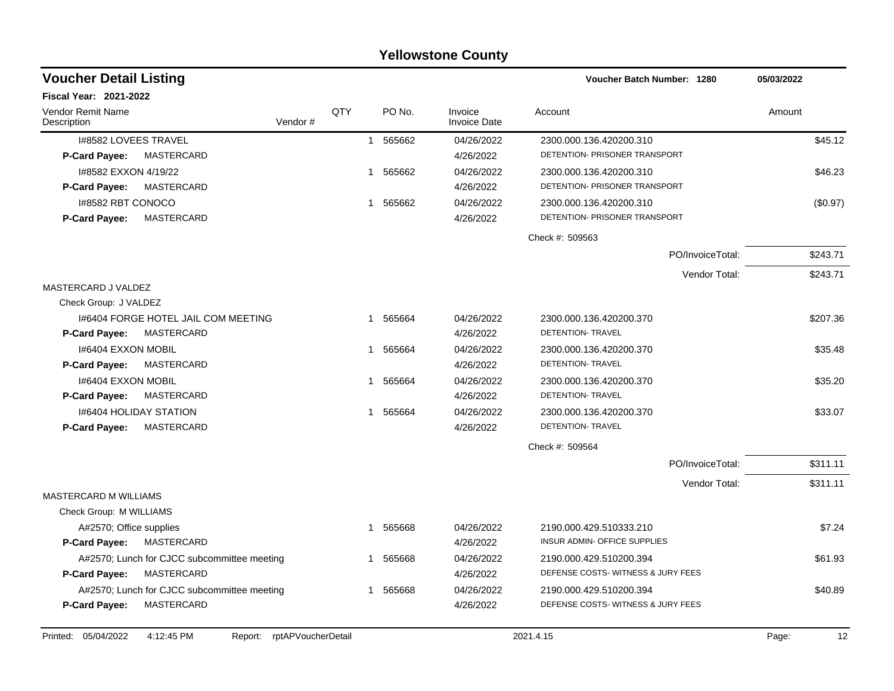| <b>Voucher Detail Listing</b>           |                                             |         |     |              |          |                                |                                                                | <b>Voucher Batch Number: 1280</b> |        |          |
|-----------------------------------------|---------------------------------------------|---------|-----|--------------|----------|--------------------------------|----------------------------------------------------------------|-----------------------------------|--------|----------|
| <b>Fiscal Year: 2021-2022</b>           |                                             |         |     |              |          |                                |                                                                |                                   |        |          |
| <b>Vendor Remit Name</b><br>Description |                                             | Vendor# | QTY |              | PO No.   | Invoice<br><b>Invoice Date</b> | Account                                                        |                                   | Amount |          |
| <b>I#8582 LOVEES TRAVEL</b>             |                                             |         |     | $\mathbf{1}$ | 565662   | 04/26/2022                     | 2300.000.136.420200.310                                        |                                   |        | \$45.12  |
| <b>P-Card Payee:</b>                    | <b>MASTERCARD</b>                           |         |     |              |          | 4/26/2022                      | DETENTION- PRISONER TRANSPORT                                  |                                   |        |          |
| 1#8582 EXXON 4/19/22                    |                                             |         |     | 1            | 565662   | 04/26/2022                     | 2300.000.136.420200.310                                        |                                   |        | \$46.23  |
| P-Card Payee:                           | MASTERCARD                                  |         |     |              |          | 4/26/2022                      | DETENTION- PRISONER TRANSPORT                                  |                                   |        |          |
| I#8582 RBT CONOCO                       |                                             |         |     | -1           | 565662   | 04/26/2022                     | 2300.000.136.420200.310                                        |                                   |        | (\$0.97) |
| <b>P-Card Payee:</b>                    | <b>MASTERCARD</b>                           |         |     |              |          | 4/26/2022                      | DETENTION- PRISONER TRANSPORT                                  |                                   |        |          |
|                                         |                                             |         |     |              |          |                                | Check #: 509563                                                |                                   |        |          |
|                                         |                                             |         |     |              |          |                                |                                                                | PO/InvoiceTotal:                  |        | \$243.71 |
|                                         |                                             |         |     |              |          |                                |                                                                | Vendor Total:                     |        | \$243.71 |
| MASTERCARD J VALDEZ                     |                                             |         |     |              |          |                                |                                                                |                                   |        |          |
| Check Group: J VALDEZ                   |                                             |         |     |              |          |                                |                                                                |                                   |        |          |
|                                         | 1#6404 FORGE HOTEL JAIL COM MEETING         |         |     |              | 1 565664 | 04/26/2022                     | 2300.000.136.420200.370                                        |                                   |        | \$207.36 |
| P-Card Payee:                           | MASTERCARD                                  |         |     |              |          | 4/26/2022                      | <b>DETENTION- TRAVEL</b>                                       |                                   |        |          |
| 1#6404 EXXON MOBIL                      |                                             |         |     |              | 1 565664 | 04/26/2022                     | 2300.000.136.420200.370                                        |                                   |        | \$35.48  |
| <b>P-Card Payee:</b>                    | MASTERCARD                                  |         |     |              |          | 4/26/2022                      | DETENTION- TRAVEL                                              |                                   |        |          |
| <b>I#6404 EXXON MOBIL</b>               |                                             |         |     | -1           | 565664   | 04/26/2022                     | 2300.000.136.420200.370                                        |                                   |        | \$35.20  |
| P-Card Payee:                           | MASTERCARD                                  |         |     |              |          | 4/26/2022                      | DETENTION- TRAVEL                                              |                                   |        |          |
| <b>I#6404 HOLIDAY STATION</b>           |                                             |         |     | -1           | 565664   | 04/26/2022                     | 2300.000.136.420200.370                                        |                                   |        | \$33.07  |
| P-Card Payee:                           | MASTERCARD                                  |         |     |              |          | 4/26/2022                      | DETENTION- TRAVEL                                              |                                   |        |          |
|                                         |                                             |         |     |              |          |                                | Check #: 509564                                                |                                   |        |          |
|                                         |                                             |         |     |              |          |                                |                                                                | PO/InvoiceTotal:                  |        | \$311.11 |
|                                         |                                             |         |     |              |          |                                |                                                                | Vendor Total:                     |        | \$311.11 |
| <b>MASTERCARD M WILLIAMS</b>            |                                             |         |     |              |          |                                |                                                                |                                   |        |          |
| Check Group: M WILLIAMS                 |                                             |         |     |              |          |                                |                                                                |                                   |        |          |
| A#2570; Office supplies                 |                                             |         |     | 1            | 565668   | 04/26/2022                     | 2190.000.429.510333.210<br><b>INSUR ADMIN- OFFICE SUPPLIES</b> |                                   |        | \$7.24   |
| P-Card Payee:                           | MASTERCARD                                  |         |     |              |          | 4/26/2022                      |                                                                |                                   |        |          |
|                                         | A#2570; Lunch for CJCC subcommittee meeting |         |     |              | 1 565668 | 04/26/2022                     | 2190.000.429.510200.394<br>DEFENSE COSTS-WITNESS & JURY FEES   |                                   |        | \$61.93  |
| <b>P-Card Payee:</b>                    | MASTERCARD                                  |         |     |              |          | 4/26/2022                      |                                                                |                                   |        |          |
|                                         | A#2570; Lunch for CJCC subcommittee meeting |         |     |              | 1 565668 | 04/26/2022                     | 2190.000.429.510200.394                                        |                                   |        | \$40.89  |
| P-Card Payee:                           | MASTERCARD                                  |         |     |              |          | 4/26/2022                      | DEFENSE COSTS-WITNESS & JURY FEES                              |                                   |        |          |
|                                         |                                             |         |     |              |          |                                |                                                                |                                   |        |          |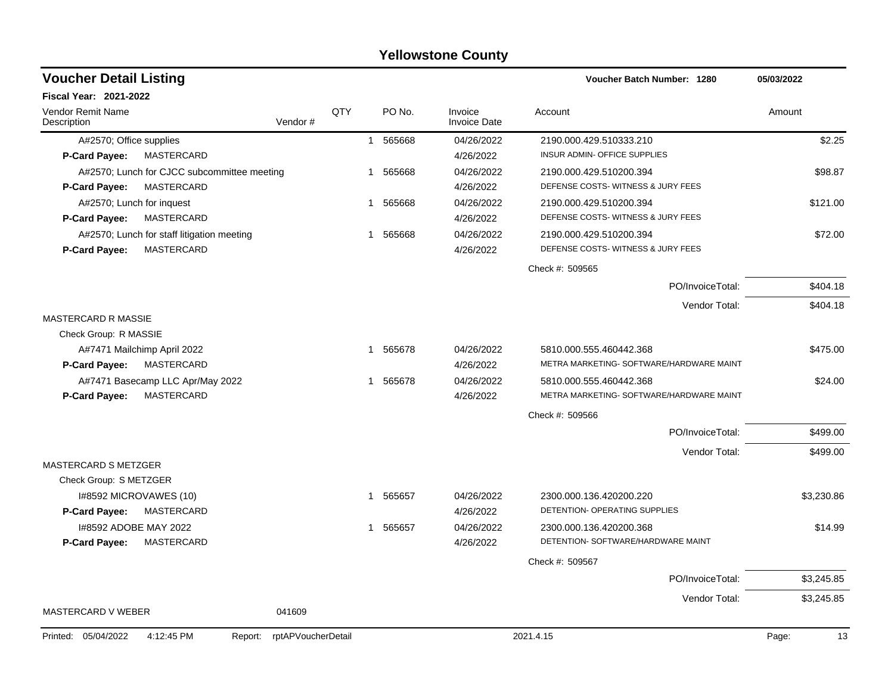| <b>Voucher Detail Listing</b>                |                    |             |          |                                | Voucher Batch Number: 1280               | 05/03/2022  |
|----------------------------------------------|--------------------|-------------|----------|--------------------------------|------------------------------------------|-------------|
| <b>Fiscal Year: 2021-2022</b>                |                    |             |          |                                |                                          |             |
| <b>Vendor Remit Name</b><br>Description      | Vendor#            | QTY         | PO No.   | Invoice<br><b>Invoice Date</b> | Account                                  | Amount      |
| A#2570; Office supplies                      |                    |             | 1 565668 | 04/26/2022                     | 2190.000.429.510333.210                  | \$2.25      |
| P-Card Payee:<br>MASTERCARD                  |                    |             |          | 4/26/2022                      | INSUR ADMIN- OFFICE SUPPLIES             |             |
| A#2570; Lunch for CJCC subcommittee meeting  |                    | $\mathbf 1$ | 565668   | 04/26/2022                     | 2190.000.429.510200.394                  | \$98.87     |
| MASTERCARD<br><b>P-Card Payee:</b>           |                    |             |          | 4/26/2022                      | DEFENSE COSTS-WITNESS & JURY FEES        |             |
| A#2570; Lunch for inquest                    |                    | $\mathbf 1$ | 565668   | 04/26/2022                     | 2190.000.429.510200.394                  | \$121.00    |
| MASTERCARD<br>P-Card Payee:                  |                    |             |          | 4/26/2022                      | DEFENSE COSTS-WITNESS & JURY FEES        |             |
| A#2570; Lunch for staff litigation meeting   |                    | -1          | 565668   | 04/26/2022                     | 2190.000.429.510200.394                  | \$72.00     |
| MASTERCARD<br><b>P-Card Payee:</b>           |                    |             |          | 4/26/2022                      | DEFENSE COSTS-WITNESS & JURY FEES        |             |
|                                              |                    |             |          |                                | Check #: 509565                          |             |
|                                              |                    |             |          |                                | PO/InvoiceTotal:                         | \$404.18    |
|                                              |                    |             |          |                                | Vendor Total:                            | \$404.18    |
| <b>MASTERCARD R MASSIE</b>                   |                    |             |          |                                |                                          |             |
| Check Group: R MASSIE                        |                    |             |          |                                |                                          |             |
| A#7471 Mailchimp April 2022                  |                    | -1          | 565678   | 04/26/2022                     | 5810.000.555.460442.368                  | \$475.00    |
| MASTERCARD<br>P-Card Payee:                  |                    |             |          | 4/26/2022                      | METRA MARKETING- SOFTWARE/HARDWARE MAINT |             |
| A#7471 Basecamp LLC Apr/May 2022             |                    |             | 1 565678 | 04/26/2022                     | 5810.000.555.460442.368                  | \$24.00     |
| <b>MASTERCARD</b><br>P-Card Payee:           |                    |             |          | 4/26/2022                      | METRA MARKETING- SOFTWARE/HARDWARE MAINT |             |
|                                              |                    |             |          |                                | Check #: 509566                          |             |
|                                              |                    |             |          |                                | PO/InvoiceTotal:                         | \$499.00    |
|                                              |                    |             |          |                                | Vendor Total:                            | \$499.00    |
| <b>MASTERCARD S METZGER</b>                  |                    |             |          |                                |                                          |             |
| Check Group: S METZGER                       |                    |             |          |                                |                                          |             |
| I#8592 MICROVAWES (10)                       |                    | -1          | 565657   | 04/26/2022                     | 2300.000.136.420200.220                  | \$3,230.86  |
| <b>P-Card Payee:</b><br>MASTERCARD           |                    |             |          | 4/26/2022                      | DETENTION- OPERATING SUPPLIES            |             |
| 1#8592 ADOBE MAY 2022                        |                    | $\mathbf 1$ | 565657   | 04/26/2022                     | 2300.000.136.420200.368                  | \$14.99     |
| MASTERCARD<br><b>P-Card Payee:</b>           |                    |             |          | 4/26/2022                      | DETENTION- SOFTWARE/HARDWARE MAINT       |             |
|                                              |                    |             |          |                                | Check #: 509567                          |             |
|                                              |                    |             |          |                                | PO/InvoiceTotal:                         | \$3,245.85  |
|                                              |                    |             |          |                                | Vendor Total:                            | \$3,245.85  |
| MASTERCARD V WEBER                           | 041609             |             |          |                                |                                          |             |
| Printed: 05/04/2022<br>4:12:45 PM<br>Report: | rptAPVoucherDetail |             |          |                                | 2021.4.15                                | Page:<br>13 |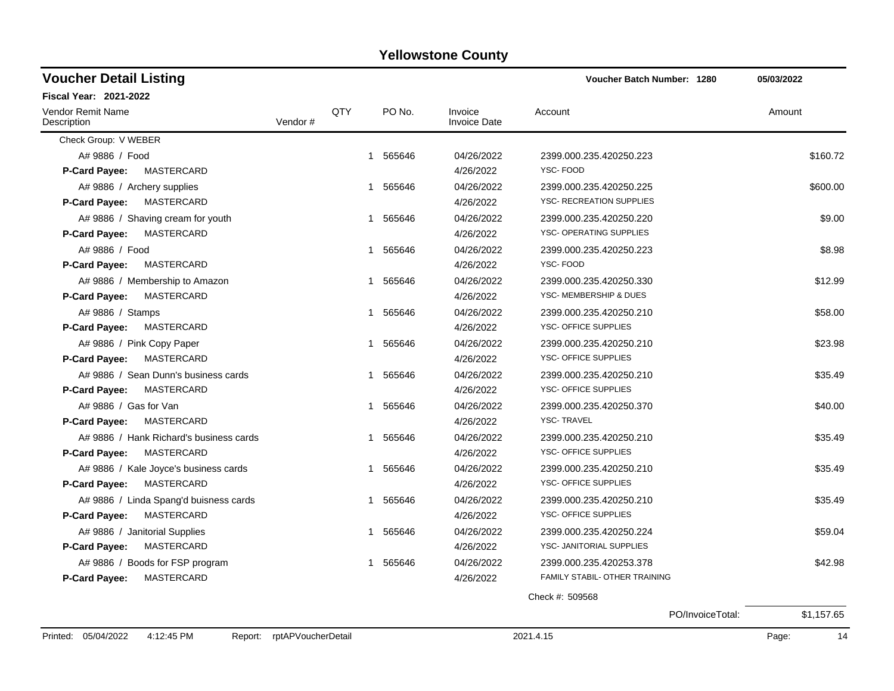| <b>Voucher Detail Listing</b>           |         |     |             |                                | Voucher Batch Number: 1280      | 05/03/2022 |
|-----------------------------------------|---------|-----|-------------|--------------------------------|---------------------------------|------------|
| <b>Fiscal Year: 2021-2022</b>           |         |     |             |                                |                                 |            |
| <b>Vendor Remit Name</b><br>Description | Vendor# | QTY | PO No.      | Invoice<br><b>Invoice Date</b> | Account                         | Amount     |
| Check Group: V WEBER                    |         |     |             |                                |                                 |            |
| A# 9886 / Food                          |         |     | 1 565646    | 04/26/2022                     | 2399.000.235.420250.223         | \$160.72   |
| P-Card Payee:<br>MASTERCARD             |         |     |             | 4/26/2022                      | YSC-FOOD                        |            |
| A# 9886 / Archery supplies              |         |     | 1 565646    | 04/26/2022                     | 2399.000.235.420250.225         | \$600.00   |
| MASTERCARD<br><b>P-Card Payee:</b>      |         |     |             | 4/26/2022                      | <b>YSC- RECREATION SUPPLIES</b> |            |
| A# 9886 / Shaving cream for youth       |         |     | 1 565646    | 04/26/2022                     | 2399.000.235.420250.220         | \$9.00     |
| MASTERCARD<br><b>P-Card Payee:</b>      |         |     |             | 4/26/2022                      | YSC- OPERATING SUPPLIES         |            |
| A# 9886 / Food                          |         |     | 1 565646    | 04/26/2022                     | 2399.000.235.420250.223         | \$8.98     |
| MASTERCARD<br><b>P-Card Payee:</b>      |         |     |             | 4/26/2022                      | <b>YSC-FOOD</b>                 |            |
| A# 9886 / Membership to Amazon          |         |     | 565646<br>1 | 04/26/2022                     | 2399.000.235.420250.330         | \$12.99    |
| MASTERCARD<br>P-Card Payee:             |         |     |             | 4/26/2022                      | YSC- MEMBERSHIP & DUES          |            |
| A# 9886 / Stamps                        |         |     | 1 565646    | 04/26/2022                     | 2399.000.235.420250.210         | \$58.00    |
| MASTERCARD<br><b>P-Card Payee:</b>      |         |     |             | 4/26/2022                      | YSC- OFFICE SUPPLIES            |            |
| A# 9886 / Pink Copy Paper               |         |     | 1 565646    | 04/26/2022                     | 2399.000.235.420250.210         | \$23.98    |
| MASTERCARD<br><b>P-Card Payee:</b>      |         |     |             | 4/26/2022                      | <b>YSC- OFFICE SUPPLIES</b>     |            |
| A# 9886 / Sean Dunn's business cards    |         |     | 1 565646    | 04/26/2022                     | 2399.000.235.420250.210         | \$35.49    |
| MASTERCARD<br><b>P-Card Payee:</b>      |         |     |             | 4/26/2022                      | YSC- OFFICE SUPPLIES            |            |
| A# 9886 / Gas for Van                   |         |     | 1 565646    | 04/26/2022                     | 2399.000.235.420250.370         | \$40.00    |
| MASTERCARD<br><b>P-Card Payee:</b>      |         |     |             | 4/26/2022                      | <b>YSC-TRAVEL</b>               |            |
| A# 9886 / Hank Richard's business cards |         |     | 1 565646    | 04/26/2022                     | 2399.000.235.420250.210         | \$35.49    |
| MASTERCARD<br><b>P-Card Payee:</b>      |         |     |             | 4/26/2022                      | YSC- OFFICE SUPPLIES            |            |
| A# 9886 / Kale Joyce's business cards   |         |     | 565646<br>1 | 04/26/2022                     | 2399.000.235.420250.210         | \$35.49    |
| MASTERCARD<br><b>P-Card Payee:</b>      |         |     |             | 4/26/2022                      | YSC- OFFICE SUPPLIES            |            |
| A# 9886 / Linda Spang'd buisness cards  |         |     | 1 565646    | 04/26/2022                     | 2399.000.235.420250.210         | \$35.49    |
| MASTERCARD<br><b>P-Card Payee:</b>      |         |     |             | 4/26/2022                      | YSC- OFFICE SUPPLIES            |            |
| A# 9886 / Janitorial Supplies           |         |     | 1 565646    | 04/26/2022                     | 2399.000.235.420250.224         | \$59.04    |
| MASTERCARD<br><b>P-Card Payee:</b>      |         |     |             | 4/26/2022                      | YSC- JANITORIAL SUPPLIES        |            |
| A# 9886 / Boods for FSP program         |         |     | 1 565646    | 04/26/2022                     | 2399.000.235.420253.378         | \$42.98    |
| <b>MASTERCARD</b><br>P-Card Payee:      |         |     |             | 4/26/2022                      | FAMILY STABIL- OTHER TRAINING   |            |
|                                         |         |     |             |                                | Check #: 509568                 |            |

PO/InvoiceTotal: \$1,157.65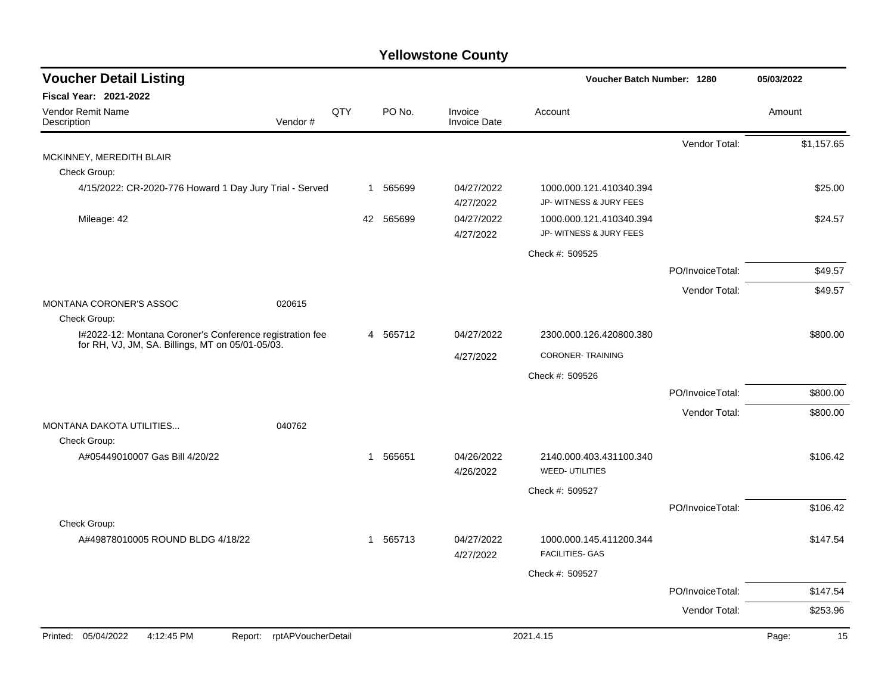| <b>Voucher Detail Listing</b>                                                                                |                    |     |           |                                | Voucher Batch Number: 1280                         |                  | 05/03/2022  |
|--------------------------------------------------------------------------------------------------------------|--------------------|-----|-----------|--------------------------------|----------------------------------------------------|------------------|-------------|
| <b>Fiscal Year: 2021-2022</b>                                                                                |                    |     |           |                                |                                                    |                  |             |
| Vendor Remit Name<br>Description                                                                             | Vendor#            | QTY | PO No.    | Invoice<br><b>Invoice Date</b> | Account                                            |                  | Amount      |
|                                                                                                              |                    |     |           |                                |                                                    | Vendor Total:    | \$1,157.65  |
| MCKINNEY, MEREDITH BLAIR                                                                                     |                    |     |           |                                |                                                    |                  |             |
| Check Group:                                                                                                 |                    |     |           |                                |                                                    |                  |             |
| 4/15/2022: CR-2020-776 Howard 1 Day Jury Trial - Served                                                      |                    |     | 1 565699  | 04/27/2022<br>4/27/2022        | 1000.000.121.410340.394<br>JP- WITNESS & JURY FEES |                  | \$25.00     |
| Mileage: 42                                                                                                  |                    |     | 42 565699 | 04/27/2022<br>4/27/2022        | 1000.000.121.410340.394<br>JP- WITNESS & JURY FEES |                  | \$24.57     |
|                                                                                                              |                    |     |           |                                | Check #: 509525                                    |                  |             |
|                                                                                                              |                    |     |           |                                |                                                    | PO/InvoiceTotal: | \$49.57     |
|                                                                                                              |                    |     |           |                                |                                                    | Vendor Total:    | \$49.57     |
| <b>MONTANA CORONER'S ASSOC</b>                                                                               | 020615             |     |           |                                |                                                    |                  |             |
| Check Group:                                                                                                 |                    |     |           |                                |                                                    |                  |             |
| I#2022-12: Montana Coroner's Conference registration fee<br>for RH, VJ, JM, SA. Billings, MT on 05/01-05/03. |                    |     | 4 565712  | 04/27/2022                     | 2300.000.126.420800.380                            |                  | \$800.00    |
|                                                                                                              |                    |     |           | 4/27/2022                      | <b>CORONER-TRAINING</b>                            |                  |             |
|                                                                                                              |                    |     |           |                                | Check #: 509526                                    |                  |             |
|                                                                                                              |                    |     |           |                                |                                                    | PO/InvoiceTotal: | \$800.00    |
|                                                                                                              |                    |     |           |                                |                                                    | Vendor Total:    | \$800.00    |
| <b>MONTANA DAKOTA UTILITIES</b>                                                                              | 040762             |     |           |                                |                                                    |                  |             |
| Check Group:                                                                                                 |                    |     |           |                                |                                                    |                  |             |
| A#05449010007 Gas Bill 4/20/22                                                                               |                    |     | 1 565651  | 04/26/2022<br>4/26/2022        | 2140.000.403.431100.340<br>WEED- UTILITIES         |                  | \$106.42    |
|                                                                                                              |                    |     |           |                                | Check #: 509527                                    |                  |             |
|                                                                                                              |                    |     |           |                                |                                                    | PO/InvoiceTotal: | \$106.42    |
| Check Group:                                                                                                 |                    |     |           |                                |                                                    |                  |             |
| A#49878010005 ROUND BLDG 4/18/22                                                                             |                    |     | 1 565713  | 04/27/2022<br>4/27/2022        | 1000.000.145.411200.344<br><b>FACILITIES- GAS</b>  |                  | \$147.54    |
|                                                                                                              |                    |     |           |                                | Check #: 509527                                    |                  |             |
|                                                                                                              |                    |     |           |                                |                                                    | PO/InvoiceTotal: | \$147.54    |
|                                                                                                              |                    |     |           |                                |                                                    | Vendor Total:    | \$253.96    |
| Printed: 05/04/2022<br>4:12:45 PM<br>Report:                                                                 | rptAPVoucherDetail |     |           |                                | 2021.4.15                                          |                  | Page:<br>15 |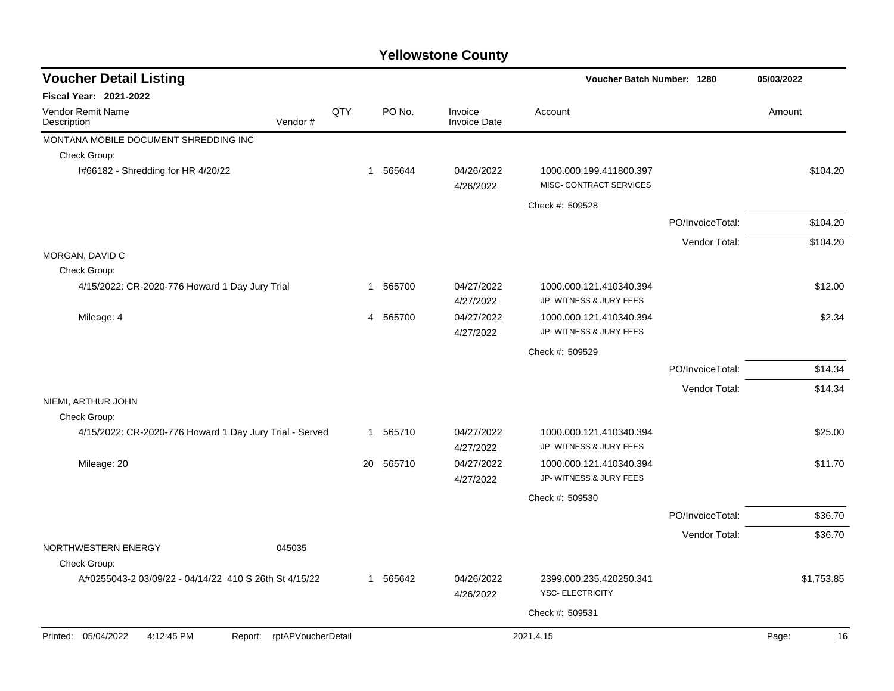| <b>Voucher Detail Listing</b>                           |                    |     |           |                         | Voucher Batch Number: 1280                         |                  | 05/03/2022  |
|---------------------------------------------------------|--------------------|-----|-----------|-------------------------|----------------------------------------------------|------------------|-------------|
| <b>Fiscal Year: 2021-2022</b>                           |                    |     |           |                         |                                                    |                  |             |
| <b>Vendor Remit Name</b><br>Description                 | Vendor#            | QTY | PO No.    | Invoice<br>Invoice Date | Account                                            |                  | Amount      |
| MONTANA MOBILE DOCUMENT SHREDDING INC                   |                    |     |           |                         |                                                    |                  |             |
| Check Group:                                            |                    |     |           |                         |                                                    |                  |             |
| I#66182 - Shredding for HR 4/20/22                      |                    |     | 1 565644  | 04/26/2022<br>4/26/2022 | 1000.000.199.411800.397<br>MISC- CONTRACT SERVICES |                  | \$104.20    |
|                                                         |                    |     |           |                         | Check #: 509528                                    |                  |             |
|                                                         |                    |     |           |                         |                                                    | PO/InvoiceTotal: | \$104.20    |
|                                                         |                    |     |           |                         |                                                    | Vendor Total:    | \$104.20    |
| MORGAN, DAVID C                                         |                    |     |           |                         |                                                    |                  |             |
| Check Group:                                            |                    |     |           |                         |                                                    |                  |             |
| 4/15/2022: CR-2020-776 Howard 1 Day Jury Trial          |                    |     | 1 565700  | 04/27/2022<br>4/27/2022 | 1000.000.121.410340.394<br>JP-WITNESS & JURY FEES  |                  | \$12.00     |
| Mileage: 4                                              |                    |     | 4 565700  | 04/27/2022<br>4/27/2022 | 1000.000.121.410340.394<br>JP- WITNESS & JURY FEES |                  | \$2.34      |
|                                                         |                    |     |           |                         | Check #: 509529                                    |                  |             |
|                                                         |                    |     |           |                         |                                                    | PO/InvoiceTotal: | \$14.34     |
|                                                         |                    |     |           |                         |                                                    | Vendor Total:    | \$14.34     |
| NIEMI, ARTHUR JOHN                                      |                    |     |           |                         |                                                    |                  |             |
| Check Group:                                            |                    |     |           |                         |                                                    |                  |             |
| 4/15/2022: CR-2020-776 Howard 1 Day Jury Trial - Served |                    |     | 1 565710  | 04/27/2022<br>4/27/2022 | 1000.000.121.410340.394<br>JP- WITNESS & JURY FEES |                  | \$25.00     |
| Mileage: 20                                             |                    |     | 20 565710 | 04/27/2022              | 1000.000.121.410340.394                            |                  | \$11.70     |
|                                                         |                    |     |           | 4/27/2022               | JP- WITNESS & JURY FEES                            |                  |             |
|                                                         |                    |     |           |                         | Check #: 509530                                    |                  |             |
|                                                         |                    |     |           |                         |                                                    | PO/InvoiceTotal: | \$36.70     |
|                                                         |                    |     |           |                         |                                                    | Vendor Total:    | \$36.70     |
| NORTHWESTERN ENERGY<br>Check Group:                     | 045035             |     |           |                         |                                                    |                  |             |
| A#0255043-2 03/09/22 - 04/14/22 410 S 26th St 4/15/22   |                    |     | 1 565642  | 04/26/2022<br>4/26/2022 | 2399.000.235.420250.341<br><b>YSC- ELECTRICITY</b> |                  | \$1,753.85  |
|                                                         |                    |     |           |                         | Check #: 509531                                    |                  |             |
|                                                         |                    |     |           |                         |                                                    |                  |             |
| Printed: 05/04/2022<br>4:12:45 PM<br>Report:            | rptAPVoucherDetail |     |           |                         | 2021.4.15                                          |                  | Page:<br>16 |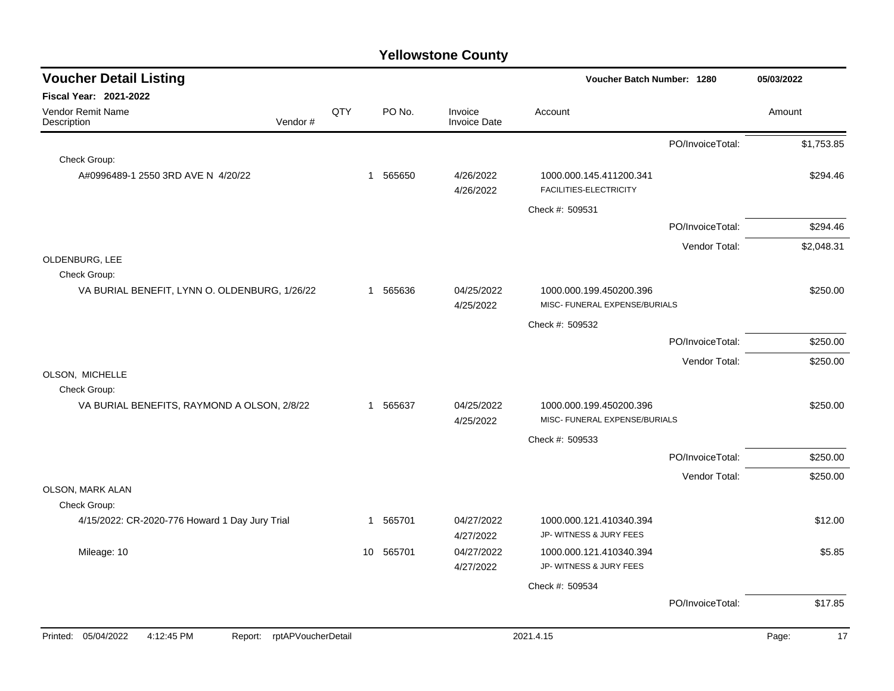| <b>Voucher Detail Listing</b><br>Voucher Batch Number: 1280        |     |                        |                                |                                                          |                  | 05/03/2022  |
|--------------------------------------------------------------------|-----|------------------------|--------------------------------|----------------------------------------------------------|------------------|-------------|
| Fiscal Year: 2021-2022                                             |     |                        |                                |                                                          |                  |             |
| Vendor Remit Name<br>Vendor#<br>Description                        | QTY | PO No.                 | Invoice<br><b>Invoice Date</b> | Account                                                  |                  | Amount      |
|                                                                    |     |                        |                                |                                                          | PO/InvoiceTotal: | \$1,753.85  |
| Check Group:                                                       |     |                        |                                |                                                          |                  |             |
| A#0996489-1 2550 3RD AVE N 4/20/22                                 |     | 565650<br>$\mathbf{1}$ | 4/26/2022<br>4/26/2022         | 1000.000.145.411200.341<br>FACILITIES-ELECTRICITY        |                  | \$294.46    |
|                                                                    |     |                        |                                | Check #: 509531                                          |                  |             |
|                                                                    |     |                        |                                |                                                          | PO/InvoiceTotal: | \$294.46    |
|                                                                    |     |                        |                                |                                                          | Vendor Total:    | \$2,048.31  |
| OLDENBURG, LEE                                                     |     |                        |                                |                                                          |                  |             |
| Check Group:<br>VA BURIAL BENEFIT, LYNN O. OLDENBURG, 1/26/22      |     | 1 565636               | 04/25/2022<br>4/25/2022        | 1000.000.199.450200.396<br>MISC- FUNERAL EXPENSE/BURIALS |                  | \$250.00    |
|                                                                    |     |                        |                                | Check #: 509532                                          |                  |             |
|                                                                    |     |                        |                                |                                                          | PO/InvoiceTotal: | \$250.00    |
|                                                                    |     |                        |                                |                                                          | Vendor Total:    | \$250.00    |
| OLSON, MICHELLE                                                    |     |                        |                                |                                                          |                  |             |
| Check Group:                                                       |     |                        |                                |                                                          |                  |             |
| VA BURIAL BENEFITS, RAYMOND A OLSON, 2/8/22                        |     | 1 565637               | 04/25/2022<br>4/25/2022        | 1000.000.199.450200.396<br>MISC- FUNERAL EXPENSE/BURIALS |                  | \$250.00    |
|                                                                    |     |                        |                                |                                                          |                  |             |
|                                                                    |     |                        |                                | Check #: 509533                                          | PO/InvoiceTotal: | \$250.00    |
|                                                                    |     |                        |                                |                                                          |                  |             |
| OLSON, MARK ALAN                                                   |     |                        |                                |                                                          | Vendor Total:    | \$250.00    |
| Check Group:                                                       |     |                        |                                |                                                          |                  |             |
| 4/15/2022: CR-2020-776 Howard 1 Day Jury Trial                     |     | 1 565701               | 04/27/2022<br>4/27/2022        | 1000.000.121.410340.394<br>JP- WITNESS & JURY FEES       |                  | \$12.00     |
| Mileage: 10                                                        |     | 565701<br>10           | 04/27/2022<br>4/27/2022        | 1000.000.121.410340.394<br>JP- WITNESS & JURY FEES       |                  | \$5.85      |
|                                                                    |     |                        |                                | Check #: 509534                                          |                  |             |
|                                                                    |     |                        |                                |                                                          | PO/InvoiceTotal: | \$17.85     |
| Printed: 05/04/2022<br>4:12:45 PM<br>rptAPVoucherDetail<br>Report: |     |                        |                                | 2021.4.15                                                |                  | Page:<br>17 |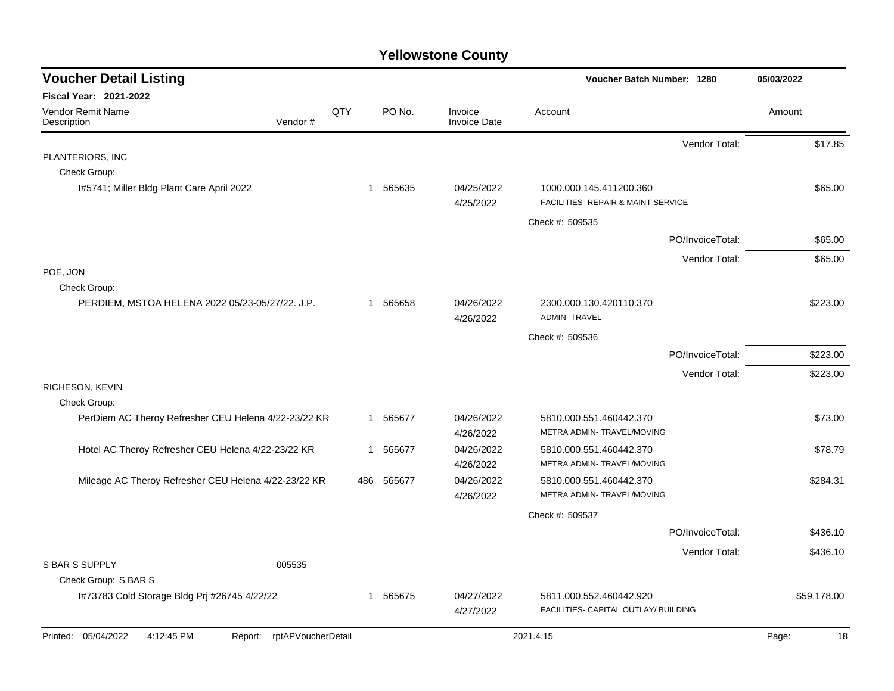| <b>Voucher Detail Listing</b>                        |                    |     |          |                                | Voucher Batch Number: 1280                                      |                  | 05/03/2022  |          |
|------------------------------------------------------|--------------------|-----|----------|--------------------------------|-----------------------------------------------------------------|------------------|-------------|----------|
| <b>Fiscal Year: 2021-2022</b>                        |                    |     |          |                                |                                                                 |                  |             |          |
| <b>Vendor Remit Name</b><br>Description<br>Vendor#   | QTY                |     | PO No.   | Invoice<br><b>Invoice Date</b> | Account                                                         |                  | Amount      |          |
|                                                      |                    |     |          |                                |                                                                 | Vendor Total:    |             | \$17.85  |
| PLANTERIORS, INC                                     |                    |     |          |                                |                                                                 |                  |             |          |
| Check Group:                                         |                    |     |          |                                |                                                                 |                  |             |          |
| 1#5741; Miller Bldg Plant Care April 2022            |                    | 1   | 565635   | 04/25/2022<br>4/25/2022        | 1000.000.145.411200.360<br>FACILITIES- REPAIR & MAINT SERVICE   |                  |             | \$65.00  |
|                                                      |                    |     |          |                                | Check #: 509535                                                 |                  |             |          |
|                                                      |                    |     |          |                                |                                                                 | PO/InvoiceTotal: |             | \$65.00  |
|                                                      |                    |     |          |                                |                                                                 | Vendor Total:    |             | \$65.00  |
| POE, JON<br>Check Group:                             |                    |     |          |                                |                                                                 |                  |             |          |
| PERDIEM, MSTOA HELENA 2022 05/23-05/27/22. J.P.      |                    |     | 1 565658 | 04/26/2022<br>4/26/2022        | 2300.000.130.420110.370<br><b>ADMIN-TRAVEL</b>                  |                  | \$223.00    |          |
|                                                      |                    |     |          |                                | Check #: 509536                                                 |                  |             |          |
|                                                      |                    |     |          |                                |                                                                 | PO/InvoiceTotal: | \$223.00    |          |
|                                                      |                    |     |          |                                |                                                                 |                  |             |          |
| RICHESON, KEVIN                                      |                    |     |          |                                |                                                                 | Vendor Total:    |             | \$223.00 |
| Check Group:                                         |                    |     |          |                                |                                                                 |                  |             |          |
| PerDiem AC Theroy Refresher CEU Helena 4/22-23/22 KR |                    |     | 1 565677 | 04/26/2022<br>4/26/2022        | 5810.000.551.460442.370<br>METRA ADMIN-TRAVEL/MOVING            |                  |             | \$73.00  |
| Hotel AC Theroy Refresher CEU Helena 4/22-23/22 KR   |                    | 1   | 565677   | 04/26/2022<br>4/26/2022        | 5810.000.551.460442.370<br>METRA ADMIN- TRAVEL/MOVING           |                  |             | \$78.79  |
| Mileage AC Theroy Refresher CEU Helena 4/22-23/22 KR |                    | 486 | 565677   | 04/26/2022<br>4/26/2022        | 5810.000.551.460442.370<br>METRA ADMIN- TRAVEL/MOVING           |                  | \$284.31    |          |
|                                                      |                    |     |          |                                | Check #: 509537                                                 |                  |             |          |
|                                                      |                    |     |          |                                |                                                                 | PO/InvoiceTotal: |             | \$436.10 |
|                                                      |                    |     |          |                                |                                                                 | Vendor Total:    |             | \$436.10 |
| <b>S BAR S SUPPLY</b><br>005535                      |                    |     |          |                                |                                                                 |                  |             |          |
| Check Group: S BAR S                                 |                    |     |          |                                |                                                                 |                  |             |          |
| 1#73783 Cold Storage Bldg Prj #26745 4/22/22         |                    | 1   | 565675   | 04/27/2022<br>4/27/2022        | 5811.000.552.460442.920<br>FACILITIES- CAPITAL OUTLAY/ BUILDING |                  | \$59,178.00 |          |
| 05/04/2022<br>4:12:45 PM<br>Printed:<br>Report:      | rptAPVoucherDetail |     |          |                                | 2021.4.15                                                       |                  | Page:       | 18       |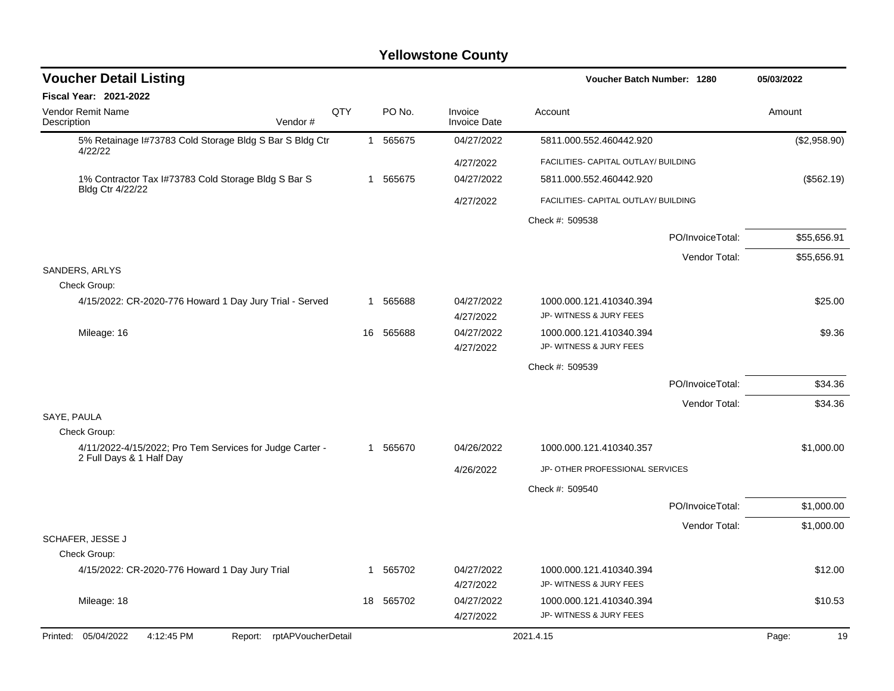| <b>Voucher Detail Listing</b>                                           |     |    |           |                                | Voucher Batch Number: 1280                         |                  | 05/03/2022   |
|-------------------------------------------------------------------------|-----|----|-----------|--------------------------------|----------------------------------------------------|------------------|--------------|
| <b>Fiscal Year: 2021-2022</b>                                           |     |    |           |                                |                                                    |                  |              |
| <b>Vendor Remit Name</b><br>Description<br>Vendor#                      | QTY |    | PO No.    | Invoice<br><b>Invoice Date</b> | Account                                            |                  | Amount       |
| 5% Retainage I#73783 Cold Storage Bldg S Bar S Bldg Ctr<br>4/22/22      |     |    | 1 565675  | 04/27/2022                     | 5811.000.552.460442.920                            |                  | (\$2,958.90) |
|                                                                         |     |    |           | 4/27/2022                      | FACILITIES- CAPITAL OUTLAY/ BUILDING               |                  |              |
| 1% Contractor Tax I#73783 Cold Storage Bldg S Bar S                     |     |    | 1 565675  | 04/27/2022                     | 5811.000.552.460442.920                            |                  | (\$562.19)   |
| Bldg Ctr 4/22/22                                                        |     |    |           | 4/27/2022                      | FACILITIES- CAPITAL OUTLAY/ BUILDING               |                  |              |
|                                                                         |     |    |           |                                | Check #: 509538                                    |                  |              |
|                                                                         |     |    |           |                                |                                                    | PO/InvoiceTotal: | \$55,656.91  |
|                                                                         |     |    |           |                                |                                                    | Vendor Total:    | \$55,656.91  |
| SANDERS, ARLYS                                                          |     |    |           |                                |                                                    |                  |              |
| Check Group:<br>4/15/2022: CR-2020-776 Howard 1 Day Jury Trial - Served |     | -1 | 565688    | 04/27/2022<br>4/27/2022        | 1000.000.121.410340.394<br>JP- WITNESS & JURY FEES |                  | \$25.00      |
| Mileage: 16                                                             |     | 16 | 565688    | 04/27/2022<br>4/27/2022        | 1000.000.121.410340.394<br>JP- WITNESS & JURY FEES |                  | \$9.36       |
|                                                                         |     |    |           |                                | Check #: 509539                                    |                  |              |
|                                                                         |     |    |           |                                |                                                    | PO/InvoiceTotal: | \$34.36      |
|                                                                         |     |    |           |                                |                                                    | Vendor Total:    | \$34.36      |
| SAYE, PAULA<br>Check Group:                                             |     |    |           |                                |                                                    |                  |              |
| 4/11/2022-4/15/2022; Pro Tem Services for Judge Carter -                |     |    | 1 565670  | 04/26/2022                     | 1000.000.121.410340.357                            |                  | \$1,000.00   |
| 2 Full Days & 1 Half Day                                                |     |    |           | 4/26/2022                      | JP- OTHER PROFESSIONAL SERVICES                    |                  |              |
|                                                                         |     |    |           |                                | Check #: 509540                                    |                  |              |
|                                                                         |     |    |           |                                |                                                    | PO/InvoiceTotal: | \$1,000.00   |
|                                                                         |     |    |           |                                |                                                    | Vendor Total:    | \$1,000.00   |
| <b>SCHAFER, JESSE J</b><br>Check Group:                                 |     |    |           |                                |                                                    |                  |              |
| 4/15/2022: CR-2020-776 Howard 1 Day Jury Trial                          |     |    | 1 565702  | 04/27/2022<br>4/27/2022        | 1000.000.121.410340.394<br>JP- WITNESS & JURY FEES |                  | \$12.00      |
| Mileage: 18                                                             |     |    | 18 565702 | 04/27/2022<br>4/27/2022        | 1000.000.121.410340.394<br>JP- WITNESS & JURY FEES |                  | \$10.53      |
| Printed: 05/04/2022<br>4:12:45 PM<br>Report: rptAPVoucherDetail         |     |    |           |                                | 2021.4.15                                          |                  | 19<br>Page:  |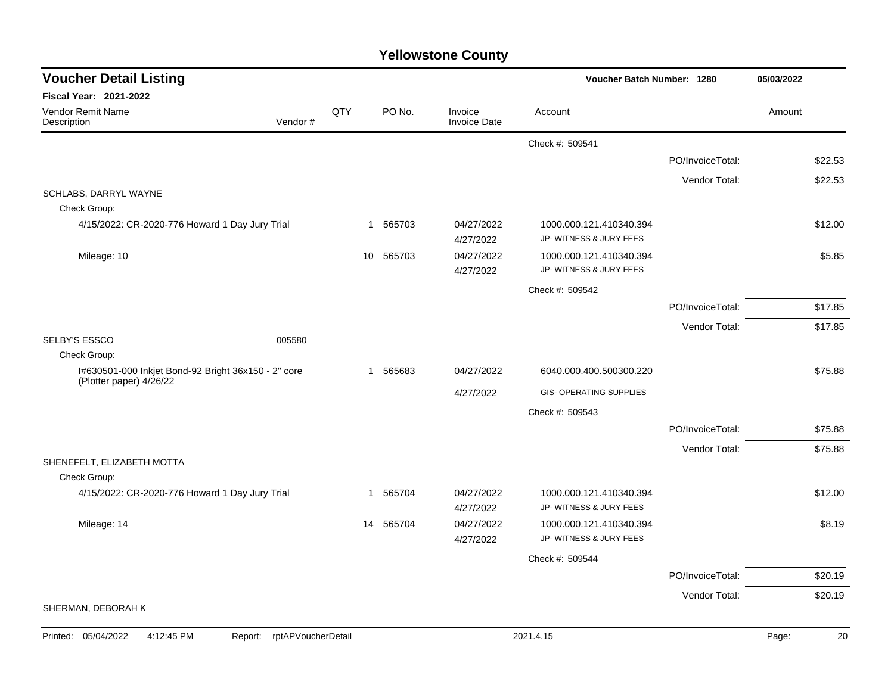| <b>Voucher Detail Listing</b>                                                  |         |              |           |                                | Voucher Batch Number: 1280                         |                  | 05/03/2022 |
|--------------------------------------------------------------------------------|---------|--------------|-----------|--------------------------------|----------------------------------------------------|------------------|------------|
| <b>Fiscal Year: 2021-2022</b>                                                  |         |              |           |                                |                                                    |                  |            |
| Vendor Remit Name<br>Description                                               | Vendor# | QTY          | PO No.    | Invoice<br><b>Invoice Date</b> | Account                                            |                  | Amount     |
|                                                                                |         |              |           |                                | Check #: 509541                                    |                  |            |
|                                                                                |         |              |           |                                |                                                    | PO/InvoiceTotal: | \$22.53    |
|                                                                                |         |              |           |                                |                                                    | Vendor Total:    | \$22.53    |
| SCHLABS, DARRYL WAYNE                                                          |         |              |           |                                |                                                    |                  |            |
| Check Group:                                                                   |         |              |           |                                |                                                    |                  |            |
| 4/15/2022: CR-2020-776 Howard 1 Day Jury Trial                                 |         |              | 1 565703  | 04/27/2022<br>4/27/2022        | 1000.000.121.410340.394<br>JP- WITNESS & JURY FEES |                  | \$12.00    |
| Mileage: 10                                                                    |         | 10           | 565703    | 04/27/2022<br>4/27/2022        | 1000.000.121.410340.394<br>JP- WITNESS & JURY FEES |                  | \$5.85     |
|                                                                                |         |              |           |                                | Check #: 509542                                    |                  |            |
|                                                                                |         |              |           |                                |                                                    | PO/InvoiceTotal: | \$17.85    |
|                                                                                |         |              |           |                                |                                                    | Vendor Total:    | \$17.85    |
| <b>SELBY'S ESSCO</b>                                                           | 005580  |              |           |                                |                                                    |                  |            |
| Check Group:                                                                   |         |              |           |                                |                                                    |                  |            |
| I#630501-000 Inkjet Bond-92 Bright 36x150 - 2" core<br>(Plotter paper) 4/26/22 |         | $\mathbf{1}$ | 565683    | 04/27/2022                     | 6040.000.400.500300.220                            |                  | \$75.88    |
|                                                                                |         |              |           | 4/27/2022                      | <b>GIS- OPERATING SUPPLIES</b>                     |                  |            |
|                                                                                |         |              |           |                                | Check #: 509543                                    |                  |            |
|                                                                                |         |              |           |                                |                                                    | PO/InvoiceTotal: | \$75.88    |
|                                                                                |         |              |           |                                |                                                    | Vendor Total:    | \$75.88    |
| SHENEFELT, ELIZABETH MOTTA                                                     |         |              |           |                                |                                                    |                  |            |
| Check Group:                                                                   |         |              |           |                                |                                                    |                  |            |
| 4/15/2022: CR-2020-776 Howard 1 Day Jury Trial                                 |         |              | 1 565704  | 04/27/2022                     | 1000.000.121.410340.394<br>JP- WITNESS & JURY FEES |                  | \$12.00    |
|                                                                                |         |              |           | 4/27/2022                      |                                                    |                  |            |
| Mileage: 14                                                                    |         |              | 14 565704 | 04/27/2022<br>4/27/2022        | 1000.000.121.410340.394<br>JP- WITNESS & JURY FEES |                  | \$8.19     |
|                                                                                |         |              |           |                                | Check #: 509544                                    |                  |            |
|                                                                                |         |              |           |                                |                                                    | PO/InvoiceTotal: | \$20.19    |
|                                                                                |         |              |           |                                |                                                    |                  |            |
| SHERMAN, DEBORAH K                                                             |         |              |           |                                |                                                    | Vendor Total:    | \$20.19    |
|                                                                                |         |              |           |                                |                                                    |                  |            |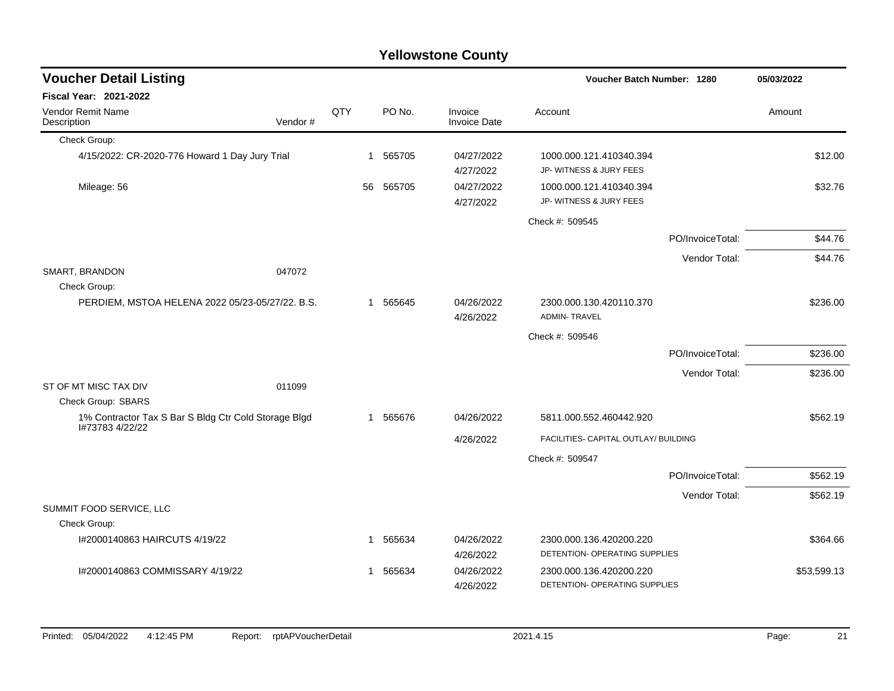| <b>Voucher Detail Listing</b>                                           |         |     |                       |                                |                                      | Voucher Batch Number: 1280 |             |  |
|-------------------------------------------------------------------------|---------|-----|-----------------------|--------------------------------|--------------------------------------|----------------------------|-------------|--|
| Fiscal Year: 2021-2022                                                  |         |     |                       |                                |                                      |                            |             |  |
| Vendor Remit Name<br>Description                                        | Vendor# | QTY | PO No.                | Invoice<br><b>Invoice Date</b> | Account                              |                            | Amount      |  |
| Check Group:                                                            |         |     |                       |                                |                                      |                            |             |  |
| 4/15/2022: CR-2020-776 Howard 1 Day Jury Trial                          |         |     | 1 565705              | 04/27/2022                     | 1000.000.121.410340.394              |                            | \$12.00     |  |
|                                                                         |         |     |                       | 4/27/2022                      | JP- WITNESS & JURY FEES              |                            |             |  |
| Mileage: 56                                                             |         |     | 56<br>565705          | 04/27/2022                     | 1000.000.121.410340.394              |                            | \$32.76     |  |
|                                                                         |         |     |                       | 4/27/2022                      | JP- WITNESS & JURY FEES              |                            |             |  |
|                                                                         |         |     |                       |                                | Check #: 509545                      |                            |             |  |
|                                                                         |         |     |                       |                                |                                      | PO/InvoiceTotal:           | \$44.76     |  |
|                                                                         |         |     |                       |                                |                                      | Vendor Total:              | \$44.76     |  |
| SMART, BRANDON<br>Check Group:                                          | 047072  |     |                       |                                |                                      |                            |             |  |
| PERDIEM, MSTOA HELENA 2022 05/23-05/27/22. B.S.                         |         |     | 1 565645              | 04/26/2022                     | 2300.000.130.420110.370              |                            | \$236.00    |  |
|                                                                         |         |     |                       | 4/26/2022                      | <b>ADMIN-TRAVEL</b>                  |                            |             |  |
|                                                                         |         |     |                       |                                | Check #: 509546                      |                            |             |  |
|                                                                         |         |     |                       |                                |                                      | PO/InvoiceTotal:           | \$236.00    |  |
|                                                                         |         |     |                       |                                |                                      | Vendor Total:              | \$236.00    |  |
| ST OF MT MISC TAX DIV                                                   | 011099  |     |                       |                                |                                      |                            |             |  |
| Check Group: SBARS                                                      |         |     |                       |                                |                                      |                            |             |  |
| 1% Contractor Tax S Bar S Bldg Ctr Cold Storage Blgd<br>I#73783 4/22/22 |         |     | 1 565676              | 04/26/2022                     | 5811.000.552.460442.920              |                            | \$562.19    |  |
|                                                                         |         |     |                       | 4/26/2022                      | FACILITIES- CAPITAL OUTLAY/ BUILDING |                            |             |  |
|                                                                         |         |     |                       |                                | Check #: 509547                      |                            |             |  |
|                                                                         |         |     |                       |                                |                                      | PO/InvoiceTotal:           | \$562.19    |  |
|                                                                         |         |     |                       |                                |                                      | Vendor Total:              | \$562.19    |  |
| SUMMIT FOOD SERVICE, LLC                                                |         |     |                       |                                |                                      |                            |             |  |
| Check Group:                                                            |         |     |                       |                                |                                      |                            |             |  |
| I#2000140863 HAIRCUTS 4/19/22                                           |         |     | 565634<br>$\mathbf 1$ | 04/26/2022                     | 2300.000.136.420200.220              |                            | \$364.66    |  |
|                                                                         |         |     |                       | 4/26/2022                      | DETENTION- OPERATING SUPPLIES        |                            |             |  |
| I#2000140863 COMMISSARY 4/19/22                                         |         |     | 565634<br>-1          | 04/26/2022                     | 2300.000.136.420200.220              |                            | \$53,599.13 |  |
|                                                                         |         |     |                       | 4/26/2022                      | DETENTION- OPERATING SUPPLIES        |                            |             |  |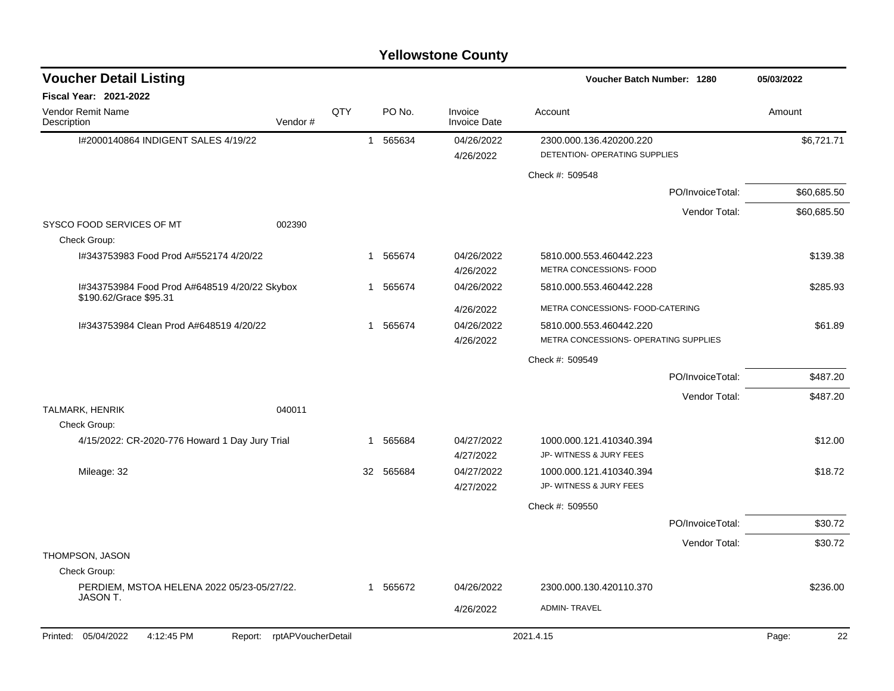| <b>Voucher Detail Listing</b>                                           | Voucher Batch Number: 1280 | 05/03/2022 |                        |                                |                                       |             |
|-------------------------------------------------------------------------|----------------------------|------------|------------------------|--------------------------------|---------------------------------------|-------------|
| Fiscal Year: 2021-2022                                                  |                            |            |                        |                                |                                       |             |
| Vendor Remit Name<br>Description                                        | Vendor#                    | QTY        | PO No.                 | Invoice<br><b>Invoice Date</b> | Account                               | Amount      |
| I#2000140864 INDIGENT SALES 4/19/22                                     |                            |            | 565634<br>$\mathbf{1}$ | 04/26/2022                     | 2300.000.136.420200.220               | \$6,721.71  |
|                                                                         |                            |            |                        | 4/26/2022                      | DETENTION- OPERATING SUPPLIES         |             |
|                                                                         |                            |            |                        |                                | Check #: 509548                       |             |
|                                                                         |                            |            |                        |                                | PO/InvoiceTotal:                      | \$60,685.50 |
|                                                                         |                            |            |                        |                                | Vendor Total:                         | \$60,685.50 |
| SYSCO FOOD SERVICES OF MT                                               | 002390                     |            |                        |                                |                                       |             |
| Check Group:                                                            |                            |            |                        |                                |                                       |             |
| I#343753983 Food Prod A#552174 4/20/22                                  |                            |            | 1 565674               | 04/26/2022                     | 5810.000.553.460442.223               | \$139.38    |
|                                                                         |                            |            |                        | 4/26/2022                      | METRA CONCESSIONS- FOOD               |             |
| I#343753984 Food Prod A#648519 4/20/22 Skybox<br>\$190.62/Grace \$95.31 |                            |            | 1 565674               | 04/26/2022                     | 5810.000.553.460442.228               | \$285.93    |
|                                                                         |                            |            |                        | 4/26/2022                      | METRA CONCESSIONS- FOOD-CATERING      |             |
| I#343753984 Clean Prod A#648519 4/20/22                                 |                            |            | 1 565674               | 04/26/2022                     | 5810.000.553.460442.220               | \$61.89     |
|                                                                         |                            |            |                        | 4/26/2022                      | METRA CONCESSIONS- OPERATING SUPPLIES |             |
|                                                                         |                            |            |                        |                                | Check #: 509549                       |             |
|                                                                         |                            |            |                        |                                | PO/InvoiceTotal:                      | \$487.20    |
|                                                                         |                            |            |                        |                                | Vendor Total:                         | \$487.20    |
| <b>TALMARK, HENRIK</b>                                                  | 040011                     |            |                        |                                |                                       |             |
| Check Group:                                                            |                            |            |                        |                                |                                       |             |
| 4/15/2022: CR-2020-776 Howard 1 Day Jury Trial                          |                            |            | 1 565684               | 04/27/2022                     | 1000.000.121.410340.394               | \$12.00     |
|                                                                         |                            |            |                        | 4/27/2022                      | JP- WITNESS & JURY FEES               |             |
| Mileage: 32                                                             |                            |            | 32 565684              | 04/27/2022                     | 1000.000.121.410340.394               | \$18.72     |
|                                                                         |                            |            |                        | 4/27/2022                      | JP- WITNESS & JURY FEES               |             |
|                                                                         |                            |            |                        |                                | Check #: 509550                       |             |
|                                                                         |                            |            |                        |                                | PO/InvoiceTotal:                      | \$30.72     |
|                                                                         |                            |            |                        |                                | Vendor Total:                         | \$30.72     |
| THOMPSON, JASON                                                         |                            |            |                        |                                |                                       |             |
| Check Group:                                                            |                            |            |                        |                                |                                       |             |
| PERDIEM, MSTOA HELENA 2022 05/23-05/27/22.<br>JASON T.                  |                            |            | 1 565672               | 04/26/2022                     | 2300.000.130.420110.370               | \$236.00    |
|                                                                         |                            |            |                        | 4/26/2022                      | <b>ADMIN-TRAVEL</b>                   |             |
| Printed: 05/04/2022<br>4:12:45 PM<br>Report:                            | rptAPVoucherDetail         |            |                        |                                | 2021.4.15                             | 22<br>Page: |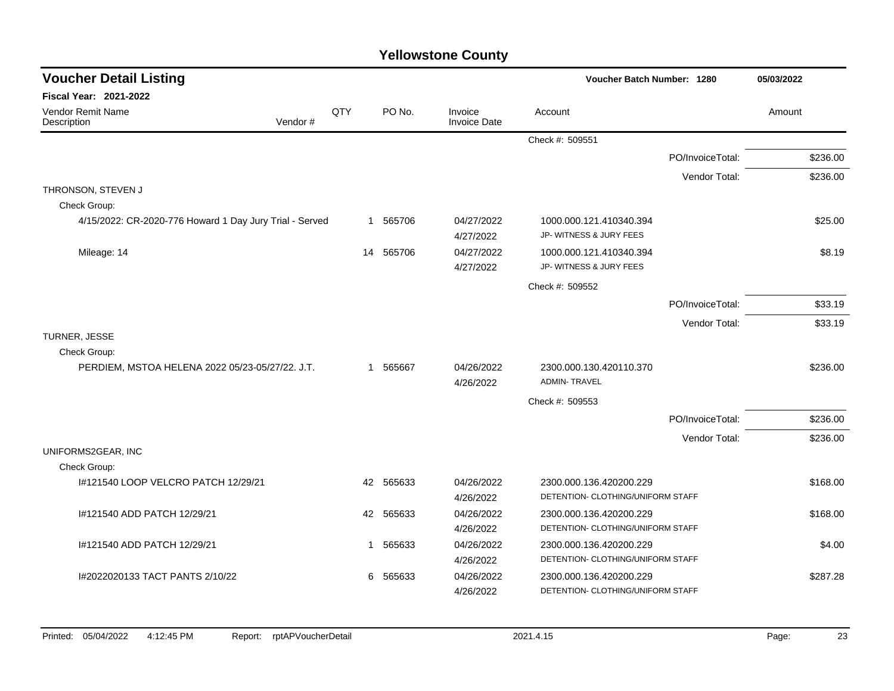| <b>Voucher Detail Listing</b>                           |     |    |           |                                | Voucher Batch Number: 1280                                   |                  | 05/03/2022 |
|---------------------------------------------------------|-----|----|-----------|--------------------------------|--------------------------------------------------------------|------------------|------------|
| <b>Fiscal Year: 2021-2022</b>                           |     |    |           |                                |                                                              |                  |            |
| Vendor Remit Name<br>Vendor#<br>Description             | QTY |    | PO No.    | Invoice<br><b>Invoice Date</b> | Account                                                      |                  | Amount     |
|                                                         |     |    |           |                                | Check #: 509551                                              |                  |            |
|                                                         |     |    |           |                                |                                                              | PO/InvoiceTotal: | \$236.00   |
|                                                         |     |    |           |                                |                                                              | Vendor Total:    | \$236.00   |
| THRONSON, STEVEN J                                      |     |    |           |                                |                                                              |                  |            |
| Check Group:                                            |     |    |           |                                |                                                              |                  |            |
| 4/15/2022: CR-2020-776 Howard 1 Day Jury Trial - Served |     |    | 1 565706  | 04/27/2022<br>4/27/2022        | 1000.000.121.410340.394<br>JP- WITNESS & JURY FEES           |                  | \$25.00    |
| Mileage: 14                                             |     |    | 14 565706 | 04/27/2022<br>4/27/2022        | 1000.000.121.410340.394<br>JP- WITNESS & JURY FEES           |                  | \$8.19     |
|                                                         |     |    |           |                                | Check #: 509552                                              |                  |            |
|                                                         |     |    |           |                                |                                                              | PO/InvoiceTotal: | \$33.19    |
|                                                         |     |    |           |                                |                                                              | Vendor Total:    | \$33.19    |
| TURNER, JESSE                                           |     |    |           |                                |                                                              |                  |            |
| Check Group:                                            |     |    |           |                                |                                                              |                  |            |
| PERDIEM, MSTOA HELENA 2022 05/23-05/27/22. J.T.         |     |    | 1 565667  | 04/26/2022<br>4/26/2022        | 2300.000.130.420110.370<br><b>ADMIN-TRAVEL</b>               |                  | \$236.00   |
|                                                         |     |    |           |                                | Check #: 509553                                              |                  |            |
|                                                         |     |    |           |                                |                                                              | PO/InvoiceTotal: | \$236.00   |
|                                                         |     |    |           |                                |                                                              | Vendor Total:    | \$236.00   |
| UNIFORMS2GEAR, INC                                      |     |    |           |                                |                                                              |                  |            |
| Check Group:                                            |     |    |           |                                |                                                              |                  |            |
| 1#121540 LOOP VELCRO PATCH 12/29/21                     |     |    | 42 565633 | 04/26/2022                     | 2300.000.136.420200.229<br>DETENTION- CLOTHING/UNIFORM STAFF |                  | \$168.00   |
|                                                         |     |    |           | 4/26/2022                      |                                                              |                  |            |
| 1#121540 ADD PATCH 12/29/21                             |     | 42 | 565633    | 04/26/2022<br>4/26/2022        | 2300.000.136.420200.229<br>DETENTION- CLOTHING/UNIFORM STAFF |                  | \$168.00   |
|                                                         |     | 1  |           |                                |                                                              |                  |            |
| I#121540 ADD PATCH 12/29/21                             |     |    | 565633    | 04/26/2022<br>4/26/2022        | 2300.000.136.420200.229<br>DETENTION- CLOTHING/UNIFORM STAFF |                  | \$4.00     |
|                                                         |     |    |           |                                |                                                              |                  |            |
| I#2022020133 TACT PANTS 2/10/22                         |     | 6  | 565633    | 04/26/2022<br>4/26/2022        | 2300.000.136.420200.229<br>DETENTION- CLOTHING/UNIFORM STAFF |                  | \$287.28   |
|                                                         |     |    |           |                                |                                                              |                  |            |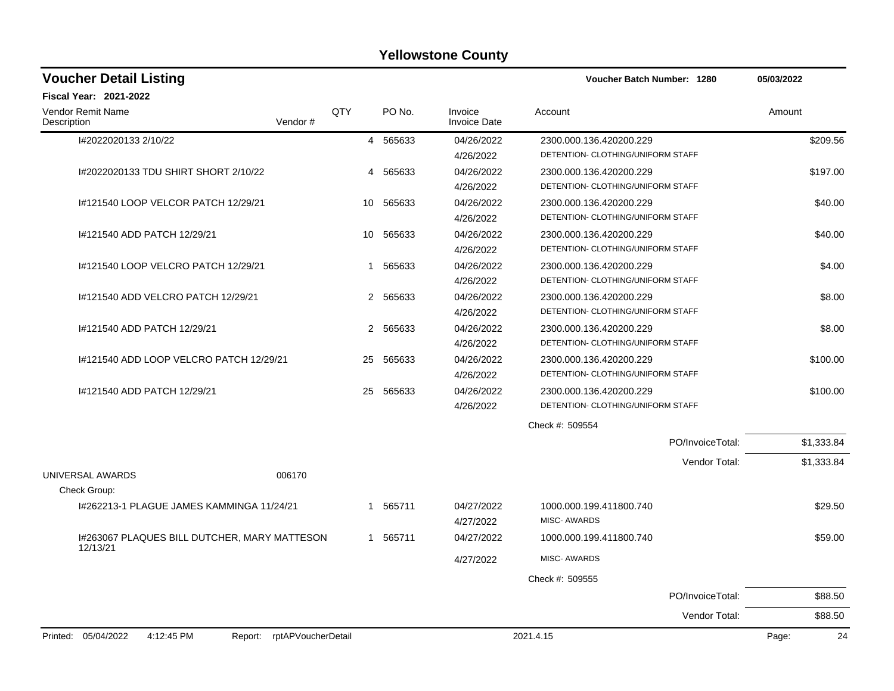| <b>Voucher Detail Listing</b>                                   |         |     |           |                                | Voucher Batch Number: 1280        |                  | 05/03/2022  |
|-----------------------------------------------------------------|---------|-----|-----------|--------------------------------|-----------------------------------|------------------|-------------|
| Fiscal Year: 2021-2022                                          |         |     |           |                                |                                   |                  |             |
| Vendor Remit Name<br>Description                                | Vendor# | QTY | PO No.    | Invoice<br><b>Invoice Date</b> | Account                           |                  | Amount      |
| I#2022020133 2/10/22                                            |         |     | 4 565633  | 04/26/2022                     | 2300.000.136.420200.229           |                  | \$209.56    |
|                                                                 |         |     |           | 4/26/2022                      | DETENTION- CLOTHING/UNIFORM STAFF |                  |             |
| I#2022020133 TDU SHIRT SHORT 2/10/22                            |         |     | 4 565633  | 04/26/2022                     | 2300.000.136.420200.229           |                  | \$197.00    |
|                                                                 |         |     |           | 4/26/2022                      | DETENTION- CLOTHING/UNIFORM STAFF |                  |             |
| 1#121540 LOOP VELCOR PATCH 12/29/21                             |         |     | 10 565633 | 04/26/2022                     | 2300.000.136.420200.229           |                  | \$40.00     |
|                                                                 |         |     |           | 4/26/2022                      | DETENTION- CLOTHING/UNIFORM STAFF |                  |             |
| I#121540 ADD PATCH 12/29/21                                     |         |     | 10 565633 | 04/26/2022                     | 2300.000.136.420200.229           |                  | \$40.00     |
|                                                                 |         |     |           | 4/26/2022                      | DETENTION- CLOTHING/UNIFORM STAFF |                  |             |
| I#121540 LOOP VELCRO PATCH 12/29/21                             |         | 1   | 565633    | 04/26/2022                     | 2300.000.136.420200.229           |                  | \$4.00      |
|                                                                 |         |     |           | 4/26/2022                      | DETENTION- CLOTHING/UNIFORM STAFF |                  |             |
| 1#121540 ADD VELCRO PATCH 12/29/21                              |         |     | 2 565633  | 04/26/2022                     | 2300.000.136.420200.229           |                  | \$8.00      |
|                                                                 |         |     |           | 4/26/2022                      | DETENTION- CLOTHING/UNIFORM STAFF |                  |             |
| #121540 ADD PATCH 12/29/21                                      |         | 2   | 565633    | 04/26/2022                     | 2300.000.136.420200.229           |                  | \$8.00      |
|                                                                 |         |     |           | 4/26/2022                      | DETENTION- CLOTHING/UNIFORM STAFF |                  |             |
| 1#121540 ADD LOOP VELCRO PATCH 12/29/21                         |         | 25  | 565633    | 04/26/2022                     | 2300.000.136.420200.229           |                  | \$100.00    |
|                                                                 |         |     |           | 4/26/2022                      | DETENTION- CLOTHING/UNIFORM STAFF |                  |             |
| I#121540 ADD PATCH 12/29/21                                     |         | 25  | 565633    | 04/26/2022                     | 2300.000.136.420200.229           |                  | \$100.00    |
|                                                                 |         |     |           | 4/26/2022                      | DETENTION- CLOTHING/UNIFORM STAFF |                  |             |
|                                                                 |         |     |           |                                | Check #: 509554                   |                  |             |
|                                                                 |         |     |           |                                |                                   | PO/InvoiceTotal: | \$1,333.84  |
|                                                                 |         |     |           |                                |                                   | Vendor Total:    | \$1,333.84  |
| UNIVERSAL AWARDS                                                | 006170  |     |           |                                |                                   |                  |             |
| Check Group:                                                    |         |     |           |                                |                                   |                  |             |
| 1#262213-1 PLAGUE JAMES KAMMINGA 11/24/21                       |         |     | 1 565711  | 04/27/2022                     | 1000.000.199.411800.740           |                  | \$29.50     |
|                                                                 |         |     |           | 4/27/2022                      | <b>MISC-AWARDS</b>                |                  |             |
| 1#263067 PLAQUES BILL DUTCHER, MARY MATTESON<br>12/13/21        |         |     | 1 565711  | 04/27/2022                     | 1000.000.199.411800.740           |                  | \$59.00     |
|                                                                 |         |     |           | 4/27/2022                      | <b>MISC-AWARDS</b>                |                  |             |
|                                                                 |         |     |           |                                | Check #: 509555                   |                  |             |
|                                                                 |         |     |           |                                |                                   | PO/InvoiceTotal: | \$88.50     |
|                                                                 |         |     |           |                                |                                   | Vendor Total:    | \$88.50     |
| Printed: 05/04/2022<br>4:12:45 PM<br>Report: rptAPVoucherDetail |         |     |           |                                | 2021.4.15                         |                  | 24<br>Page: |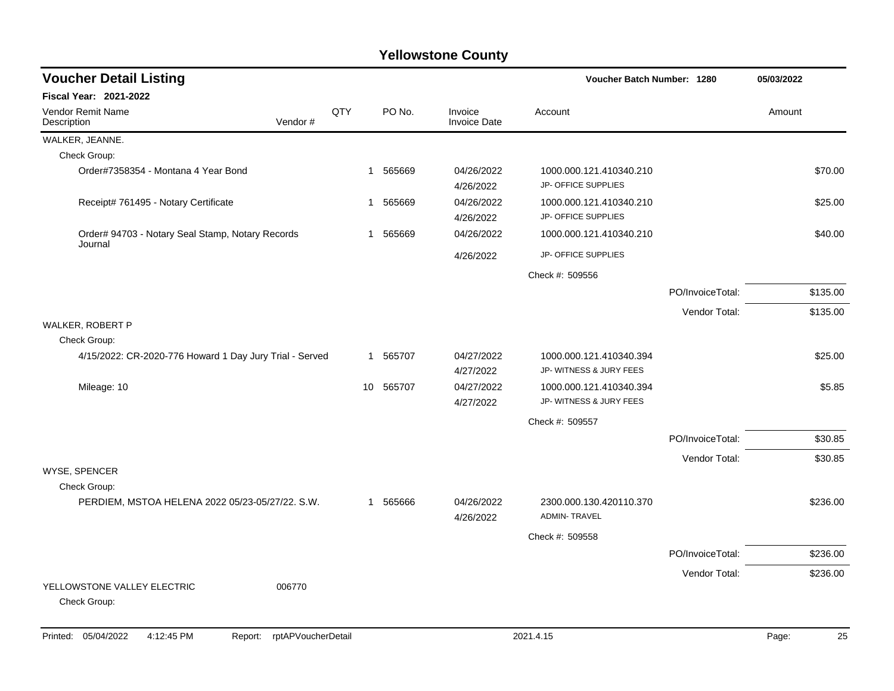| <b>Voucher Detail Listing</b>                                   |         |     |              |        |                                | Voucher Batch Number: 1280                         | 05/03/2022       |        |          |
|-----------------------------------------------------------------|---------|-----|--------------|--------|--------------------------------|----------------------------------------------------|------------------|--------|----------|
| <b>Fiscal Year: 2021-2022</b>                                   |         |     |              |        |                                |                                                    |                  |        |          |
| Vendor Remit Name<br>Description                                | Vendor# | QTY |              | PO No. | Invoice<br><b>Invoice Date</b> | Account                                            |                  | Amount |          |
| WALKER, JEANNE.                                                 |         |     |              |        |                                |                                                    |                  |        |          |
| Check Group:                                                    |         |     |              |        |                                |                                                    |                  |        |          |
| Order#7358354 - Montana 4 Year Bond                             |         |     | $\mathbf{1}$ | 565669 | 04/26/2022<br>4/26/2022        | 1000.000.121.410340.210<br>JP- OFFICE SUPPLIES     |                  |        | \$70.00  |
| Receipt# 761495 - Notary Certificate                            |         |     | 1            | 565669 | 04/26/2022<br>4/26/2022        | 1000.000.121.410340.210<br>JP- OFFICE SUPPLIES     |                  |        | \$25.00  |
| Order# 94703 - Notary Seal Stamp, Notary Records<br>Journal     |         |     | 1            | 565669 | 04/26/2022                     | 1000.000.121.410340.210                            |                  |        | \$40.00  |
|                                                                 |         |     |              |        | 4/26/2022                      | JP- OFFICE SUPPLIES                                |                  |        |          |
|                                                                 |         |     |              |        |                                | Check #: 509556                                    |                  |        |          |
|                                                                 |         |     |              |        |                                |                                                    | PO/InvoiceTotal: |        | \$135.00 |
|                                                                 |         |     |              |        |                                |                                                    | Vendor Total:    |        | \$135.00 |
| WALKER, ROBERT P<br>Check Group:                                |         |     |              |        |                                |                                                    |                  |        |          |
| 4/15/2022: CR-2020-776 Howard 1 Day Jury Trial - Served         |         |     | $\mathbf{1}$ | 565707 | 04/27/2022<br>4/27/2022        | 1000.000.121.410340.394<br>JP- WITNESS & JURY FEES |                  |        | \$25.00  |
| Mileage: 10                                                     |         |     | 10           | 565707 | 04/27/2022<br>4/27/2022        | 1000.000.121.410340.394<br>JP- WITNESS & JURY FEES |                  |        | \$5.85   |
|                                                                 |         |     |              |        |                                | Check #: 509557                                    |                  |        |          |
|                                                                 |         |     |              |        |                                |                                                    | PO/InvoiceTotal: |        | \$30.85  |
|                                                                 |         |     |              |        |                                |                                                    | Vendor Total:    |        | \$30.85  |
| WYSE, SPENCER                                                   |         |     |              |        |                                |                                                    |                  |        |          |
| Check Group:<br>PERDIEM, MSTOA HELENA 2022 05/23-05/27/22. S.W. |         |     | 1            | 565666 | 04/26/2022<br>4/26/2022        | 2300.000.130.420110.370<br><b>ADMIN-TRAVEL</b>     |                  |        | \$236.00 |
|                                                                 |         |     |              |        |                                | Check #: 509558                                    |                  |        |          |
|                                                                 |         |     |              |        |                                |                                                    | PO/InvoiceTotal: |        | \$236.00 |
|                                                                 |         |     |              |        |                                |                                                    | Vendor Total:    |        | \$236.00 |
| YELLOWSTONE VALLEY ELECTRIC<br>Check Group:                     | 006770  |     |              |        |                                |                                                    |                  |        |          |